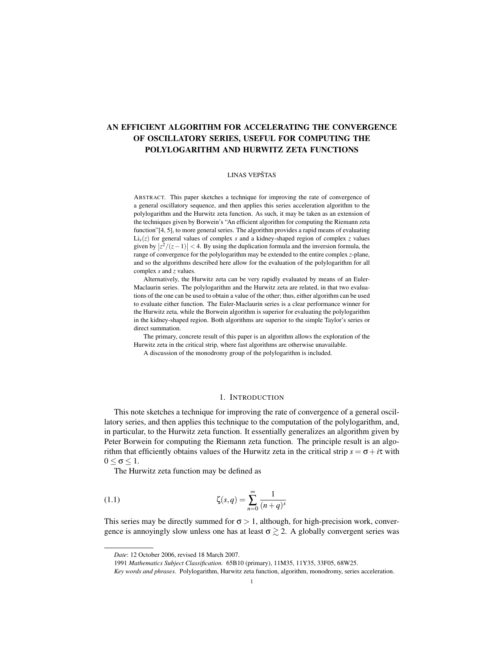# AN EFFICIENT ALGORITHM FOR ACCELERATING THE CONVERGENCE OF OSCILLATORY SERIES, USEFUL FOR COMPUTING THE POLYLOGARITHM AND HURWITZ ZETA FUNCTIONS

# LINAS VEPŠTAS

ABSTRACT. This paper sketches a technique for improving the rate of convergence of a general oscillatory sequence, and then applies this series acceleration algorithm to the polylogarithm and the Hurwitz zeta function. As such, it may be taken as an extension of the techniques given by Borwein's "An efficient algorithm for computing the Riemann zeta function"[4, 5], to more general series. The algorithm provides a rapid means of evaluating  $Li<sub>s</sub>(z)$  for general values of complex *s* and a kidney-shaped region of complex *z* values given by  $|\overline{z^2}/(z-1)| < 4$ . By using the duplication formula and the inversion formula, the range of convergence for the polylogarithm may be extended to the entire complex *z*-plane, and so the algorithms described here allow for the evaluation of the polylogarithm for all complex *s* and *z* values.

Alternatively, the Hurwitz zeta can be very rapidly evaluated by means of an Euler-Maclaurin series. The polylogarithm and the Hurwitz zeta are related, in that two evaluations of the one can be used to obtain a value of the other; thus, either algorithm can be used to evaluate either function. The Euler-Maclaurin series is a clear performance winner for the Hurwitz zeta, while the Borwein algorithm is superior for evaluating the polylogarithm in the kidney-shaped region. Both algorithms are superior to the simple Taylor's series or direct summation.

The primary, concrete result of this paper is an algorithm allows the exploration of the Hurwitz zeta in the critical strip, where fast algorithms are otherwise unavailable.

A discussion of the monodromy group of the polylogarithm is included.

# 1. INTRODUCTION

This note sketches a technique for improving the rate of convergence of a general oscillatory series, and then applies this technique to the computation of the polylogarithm, and, in particular, to the Hurwitz zeta function. It essentially generalizes an algorithm given by Peter Borwein for computing the Riemann zeta function. The principle result is an algorithm that efficiently obtains values of the Hurwitz zeta in the critical strip  $s = \sigma + i\tau$  with  $0 < \sigma < 1$ .

The Hurwitz zeta function may be defined as

(1.1) 
$$
\zeta(s,q) = \sum_{n=0}^{\infty} \frac{1}{(n+q)^s}
$$

This series may be directly summed for  $\sigma > 1$ , although, for high-precision work, convergence is annoyingly slow unless one has at least  $\sigma \gtrsim 2$ . A globally convergent series was

*Date*: 12 October 2006, revised 18 March 2007.

<sup>1991</sup> *Mathematics Subject Classification.* 65B10 (primary), 11M35, 11Y35, 33F05, 68W25.

*Key words and phrases.* Polylogarithm, Hurwitz zeta function, algorithm, monodromy, series acceleration.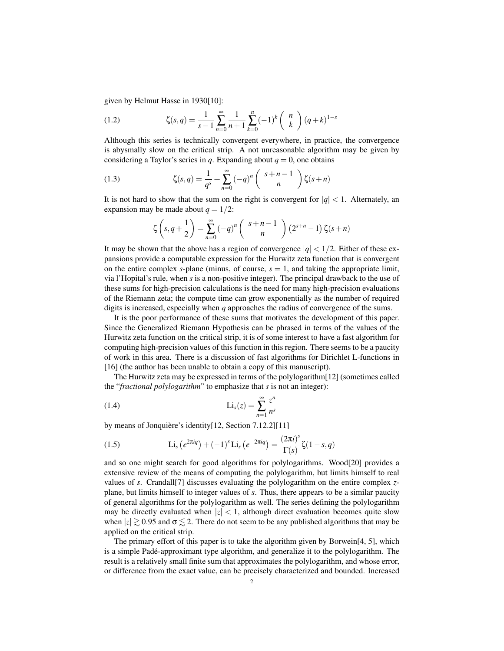given by Helmut Hasse in 1930[10]:

(1.2) 
$$
\zeta(s,q) = \frac{1}{s-1} \sum_{n=0}^{\infty} \frac{1}{n+1} \sum_{k=0}^{n} (-1)^k {n \choose k} (q+k)^{1-s}
$$

Although this series is technically convergent everywhere, in practice, the convergence is abysmally slow on the critical strip. A not unreasonable algorithm may be given by considering a Taylor's series in *q*. Expanding about  $q = 0$ , one obtains

(1.3) 
$$
\zeta(s,q) = \frac{1}{q^s} + \sum_{n=0}^{\infty} (-q)^n \binom{s+n-1}{n} \zeta(s+n)
$$

It is not hard to show that the sum on the right is convergent for  $|q| < 1$ . Alternately, an expansion may be made about  $q = 1/2$ :

$$
\zeta\left(s,q+\frac{1}{2}\right) = \sum_{n=0}^{\infty} \left(-q\right)^n \left(\begin{array}{c} s+n-1\\ n \end{array}\right) \left(2^{s+n}-1\right) \zeta(s+n)
$$

It may be shown that the above has a region of convergence  $|q| < 1/2$ . Either of these expansions provide a computable expression for the Hurwitz zeta function that is convergent on the entire complex *s*-plane (minus, of course,  $s = 1$ , and taking the appropriate limit, via l'Hopital's rule, when *s* is a non-positive integer). The principal drawback to the use of these sums for high-precision calculations is the need for many high-precision evaluations of the Riemann zeta; the compute time can grow exponentially as the number of required digits is increased, especially when *q* approaches the radius of convergence of the sums.

It is the poor performance of these sums that motivates the development of this paper. Since the Generalized Riemann Hypothesis can be phrased in terms of the values of the Hurwitz zeta function on the critical strip, it is of some interest to have a fast algorithm for computing high-precision values of this function in this region. There seems to be a paucity of work in this area. There is a discussion of fast algorithms for Dirichlet L-functions in [16] (the author has been unable to obtain a copy of this manuscript).

The Hurwitz zeta may be expressed in terms of the polylogarithm[12] (sometimes called the "*fractional polylogarithm*" to emphasize that *s* is not an integer):

$$
\text{(1.4)} \qquad \qquad \text{Li}_s(z) = \sum_{n=1}^{\infty} \frac{z^n}{n^s}
$$

by means of Jonquière's identity[12, Section 7.12.2][11]

(1.5) 
$$
\text{Li}_s\left(e^{2\pi i q}\right) + (-1)^s \text{Li}_s\left(e^{-2\pi i q}\right) = \frac{(2\pi i)^s}{\Gamma(s)} \zeta(1-s,q)
$$

and so one might search for good algorithms for polylogarithms. Wood[20] provides a extensive review of the means of computing the polylogarithm, but limits himself to real values of *s*. Crandall[7] discusses evaluating the polylogarithm on the entire complex *z*plane, but limits himself to integer values of *s*. Thus, there appears to be a similar paucity of general algorithms for the polylogarithm as well. The series defining the polylogarithm may be directly evaluated when  $|z| < 1$ , although direct evaluation becomes quite slow when  $|z| \ge 0.95$  and  $\sigma \le 2$ . There do not seem to be any published algorithms that may be applied on the critical strip.

The primary effort of this paper is to take the algorithm given by Borwein[4, 5], which is a simple Padé-approximant type algorithm, and generalize it to the polylogarithm. The result is a relatively small finite sum that approximates the polylogarithm, and whose error, or difference from the exact value, can be precisely characterized and bounded. Increased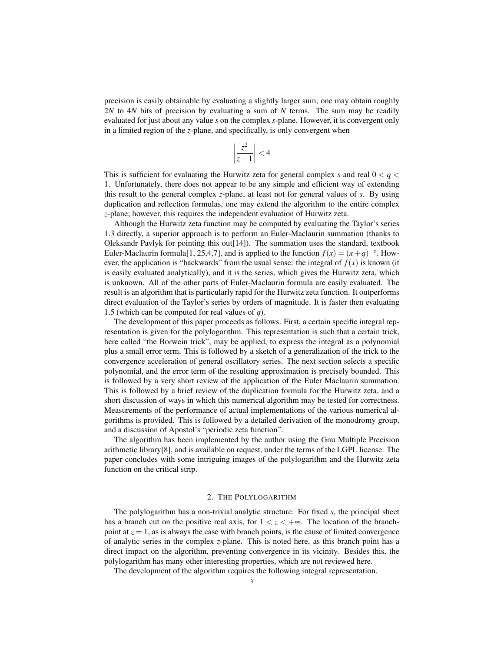precision is easily obtainable by evaluating a slightly larger sum; one may obtain roughly 2*N* to 4*N* bits of precision by evaluating a sum of *N* terms. The sum may be readily evaluated for just about any value *s* on the complex *s*-plane. However, it is convergent only in a limited region of the *z*-plane, and specifically, is only convergent when

$$
\left|\frac{z^2}{z-1}\right| < 4
$$

This is sufficient for evaluating the Hurwitz zeta for general complex *s* and real  $0 < q <$ 1. Unfortunately, there does not appear to be any simple and efficient way of extending this result to the general complex *z*-plane, at least not for general values of *s*. By using duplication and reflection formulas, one may extend the algorithm to the entire complex *z*-plane; however, this requires the independent evaluation of Hurwitz zeta.

Although the Hurwitz zeta function may be computed by evaluating the Taylor's series 1.3 directly, a superior approach is to perform an Euler-Maclaurin summation (thanks to Oleksandr Pavlyk for pointing this out[14]). The summation uses the standard, textbook Euler-Maclaurin formula[1, 25,4,7], and is applied to the function  $f(x) = (x+q)^{-s}$ . However, the application is "backwards" from the usual sense: the integral of  $f(x)$  is known (it is easily evaluated analytically), and it is the series, which gives the Hurwitz zeta, which is unknown. All of the other parts of Euler-Maclaurin formula are easily evaluated. The result is an algorithm that is particularly rapid for the Hurwitz zeta function. It outperforms direct evaluation of the Taylor's series by orders of magnitude. It is faster then evaluating 1.5 (which can be computed for real values of *q*).

The development of this paper proceeds as follows. First, a certain specific integral representation is given for the polylogarithm. This representation is such that a certain trick, here called "the Borwein trick", may be applied, to express the integral as a polynomial plus a small error term. This is followed by a sketch of a generalization of the trick to the convergence acceleration of general oscillatory series. The next section selects a specific polynomial, and the error term of the resulting approximation is precisely bounded. This is followed by a very short review of the application of the Euler Maclaurin summation. This is followed by a brief review of the duplication formula for the Hurwitz zeta, and a short discussion of ways in which this numerical algorithm may be tested for correctness. Measurements of the performance of actual implementations of the various numerical algorithms is provided. This is followed by a detailed derivation of the monodromy group, and a discussion of Apostol's "periodic zeta function".

The algorithm has been implemented by the author using the Gnu Multiple Precision arithmetic library[8], and is available on request, under the terms of the LGPL license. The paper concludes with some intriguing images of the polylogarithm and the Hurwitz zeta function on the critical strip.

# 2. THE POLYLOGARITHM

The polylogarithm has a non-trivial analytic structure. For fixed *s*, the principal sheet has a branch cut on the positive real axis, for  $1 < z < +\infty$ . The location of the branchpoint at  $z = 1$ , as is always the case with branch points, is the cause of limited convergence of analytic series in the complex *z*-plane. This is noted here, as this branch point has a direct impact on the algorithm, preventing convergence in its vicinity. Besides this, the polylogarithm has many other interesting properties, which are not reviewed here.

The development of the algorithm requires the following integral representation.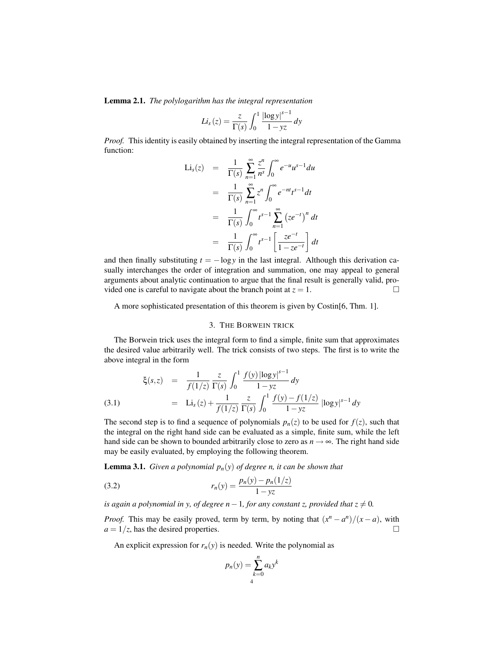Lemma 2.1. *The polylogarithm has the integral representation*

$$
Li_s(z) = \frac{z}{\Gamma(s)} \int_0^1 \frac{|\log y|^{s-1}}{1 - yz} dy
$$

*Proof.* This identity is easily obtained by inserting the integral representation of the Gamma function:

$$
\begin{array}{rcl}\n\text{Li}_s(z) & = & \frac{1}{\Gamma(s)} \sum_{n=1}^{\infty} \frac{z^n}{n^s} \int_0^{\infty} e^{-u} u^{s-1} du \\
& = & \frac{1}{\Gamma(s)} \sum_{n=1}^{\infty} z^n \int_0^{\infty} e^{-nt} t^{s-1} dt \\
& = & \frac{1}{\Gamma(s)} \int_0^{\infty} t^{s-1} \sum_{n=1}^{\infty} (ze^{-t})^n dt \\
& = & \frac{1}{\Gamma(s)} \int_0^{\infty} t^{s-1} \left[ \frac{ze^{-t}}{1 - ze^{-t}} \right] dt\n\end{array}
$$

and then finally substituting  $t = -\log y$  in the last integral. Although this derivation casually interchanges the order of integration and summation, one may appeal to general arguments about analytic continuation to argue that the final result is generally valid, provided one is careful to navigate about the branch point at  $z = 1$ .

A more sophisticated presentation of this theorem is given by Costin[6, Thm. 1].

# 3. THE BORWEIN TRICK

The Borwein trick uses the integral form to find a simple, finite sum that approximates the desired value arbitrarily well. The trick consists of two steps. The first is to write the above integral in the form

(3.1) 
$$
\xi(s,z) = \frac{1}{f(1/z)} \frac{z}{\Gamma(s)} \int_0^1 \frac{f(y) |\log y|^{s-1}}{1 - yz} dy
$$

$$
= \text{Li}_s(z) + \frac{1}{f(1/z)} \frac{z}{\Gamma(s)} \int_0^1 \frac{f(y) - f(1/z)}{1 - yz} |\log y|^{s-1} dy
$$

The second step is to find a sequence of polynomials  $p_n(z)$  to be used for  $f(z)$ , such that the integral on the right hand side can be evaluated as a simple, finite sum, while the left hand side can be shown to bounded arbitrarily close to zero as  $n \rightarrow \infty$ . The right hand side may be easily evaluated, by employing the following theorem.

**Lemma 3.1.** *Given a polynomial*  $p_n(y)$  *of degree n, it can be shown that* 

1. Given a polynomial 
$$
p_n(y)
$$
 of degree *n*, it can

\n(3.2)

\n
$$
r_n(y) = \frac{p_n(y) - p_n(1/z)}{1 - yz}
$$

*is again a polynomial in y, of degree*  $n-1$ *, for any constant z, provided that*  $z \neq 0$ *.* 

*Proof.* This may be easily proved, term by term, by noting that  $(x^n - a^n)/(x - a)$ , with  $a = 1/z$ , has the desired properties.

An explicit expression for  $r_n(y)$  is needed. Write the polynomial as

$$
p_n(y) = \sum_{k=0}^n a_k y^k
$$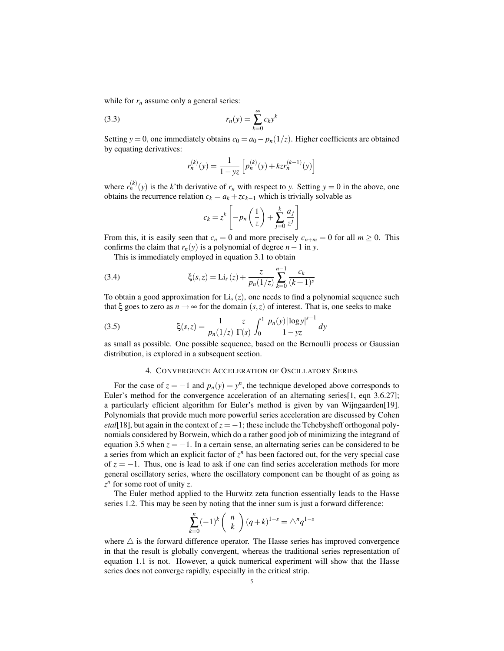while for  $r_n$  assume only a general series:

$$
(3.3) \t\t\t r_n(y) = \sum_{k=0}^{\infty} c_k y^k
$$

Setting *y* = 0, one immediately obtains  $c_0 = a_0 - p_n(1/z)$ . Higher coefficients are obtained by equating derivatives:

$$
r_n^{(k)}(y) = \frac{1}{1 - yz} \left[ p_n^{(k)}(y) + kz r_n^{(k-1)}(y) \right]
$$

where  $r_n^{(k)}(y)$  is the *k*'th derivative of  $r_n$  with respect to *y*. Setting  $y = 0$  in the above, one obtains the recurrence relation  $c_k = a_k + zc_{k-1}$  which is trivially solvable as

$$
c_k = z^k \left[ -p_n \left( \frac{1}{z} \right) + \sum_{j=0}^k \frac{a_j}{z^j} \right]
$$

From this, it is easily seen that  $c_n = 0$  and more precisely  $c_{n+m} = 0$  for all  $m \ge 0$ . This confirms the claim that  $r_n(y)$  is a polynomial of degree  $n-1$  in *y*.

This is immediately employed in equation 3.1 to obtain

(3.4) 
$$
\xi(s,z) = \text{Li}_s(z) + \frac{z}{p_n(1/z)} \sum_{k=0}^{n-1} \frac{c_k}{(k+1)^s}
$$

To obtain a good approximation for  $Li<sub>s</sub>(z)$ , one needs to find a polynomial sequence such that  $\xi$  goes to zero as  $n \to \infty$  for the domain  $(s, z)$  of interest. That is, one seeks to make

(3.5) 
$$
\xi(s,z) = \frac{1}{p_n(1/z)} \frac{z}{\Gamma(s)} \int_0^1 \frac{p_n(y) |\log y|^{s-1}}{1 - yz} dy
$$

as small as possible. One possible sequence, based on the Bernoulli process or Gaussian distribution, is explored in a subsequent section.

# 4. CONVERGENCE ACCELERATION OF OSCILLATORY SERIES

For the case of  $z = -1$  and  $p_n(y) = y^n$ , the technique developed above corresponds to Euler's method for the convergence acceleration of an alternating series[1, eqn 3.6.27]; a particularly efficient algorithm for Euler's method is given by van Wijngaarden[19]. Polynomials that provide much more powerful series acceleration are discussed by Cohen *etal*[18], but again in the context of  $z = -1$ ; these include the Tchebysheff orthogonal polynomials considered by Borwein, which do a rather good job of minimizing the integrand of equation 3.5 when  $z = -1$ . In a certain sense, an alternating series can be considered to be a series from which an explicit factor of  $z^n$  has been factored out, for the very special case of  $z = -1$ . Thus, one is lead to ask if one can find series acceleration methods for more general oscillatory series, where the oscillatory component can be thought of as going as  $z^n$  for some root of unity *z*.

The Euler method applied to the Hurwitz zeta function essentially leads to the Hasse series 1.2. This may be seen by noting that the inner sum is just a forward difference:

$$
\sum_{k=0}^{n} (-1)^{k} {n \choose k} (q+k)^{1-s} = \Delta^{n} q^{1-s}
$$

where  $\triangle$  is the forward difference operator. The Hasse series has improved convergence in that the result is globally convergent, whereas the traditional series representation of equation 1.1 is not. However, a quick numerical experiment will show that the Hasse series does not converge rapidly, especially in the critical strip.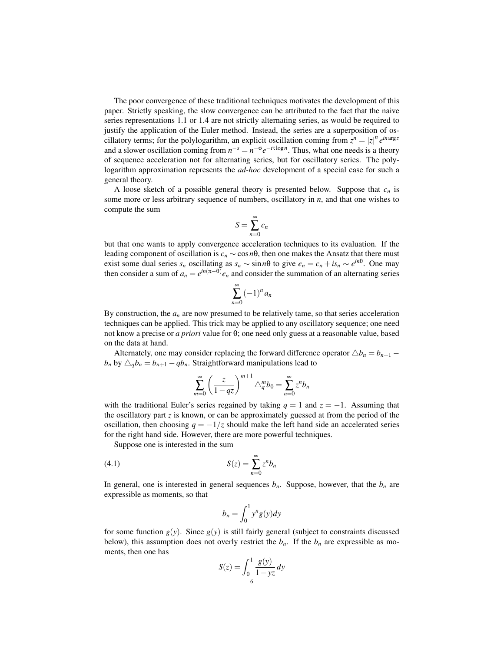The poor convergence of these traditional techniques motivates the development of this paper. Strictly speaking, the slow convergence can be attributed to the fact that the naive series representations 1.1 or 1.4 are not strictly alternating series, as would be required to justify the application of the Euler method. Instead, the series are a superposition of oscillatory terms; for the polylogarithm, an explicit oscillation coming from  $z^n = |z|^n e^{in \arg z}$ and a slower oscillation coming from  $n^{-s} = n^{-\sigma} e^{-i\tau \log n}$ . Thus, what one needs is a theory of sequence acceleration not for alternating series, but for oscillatory series. The polylogarithm approximation represents the *ad-hoc* development of a special case for such a general theory.

A loose sketch of a possible general theory is presented below. Suppose that  $c_n$  is some more or less arbitrary sequence of numbers, oscillatory in *n*, and that one wishes to compute the sum

$$
S = \sum_{n=0}^{\infty} c_n
$$

but that one wants to apply convergence acceleration techniques to its evaluation. If the leading component of oscillation is  $c_n \sim \cos n\theta$ , then one makes the Ansatz that there must exist some dual series  $s_n$  oscillating as  $s_n \sim \sin n\theta$  to give  $e_n = c_n + i s_n \sim e^{in\theta}$ . One may then consider a sum of  $a_n = e^{in(\pi - \theta)} e_n$  and consider the summation of an alternating series

$$
\sum_{n=0}^{\infty} \left(-1\right)^n a_n
$$

By construction, the  $a_n$  are now presumed to be relatively tame, so that series acceleration techniques can be applied. This trick may be applied to any oscillatory sequence; one need not know a precise or *a priori* value for θ; one need only guess at a reasonable value, based on the data at hand.

Alternately, one may consider replacing the forward difference operator  $\triangle b_n = b_{n+1} - b_n$ *b<sub>n</sub>* by  $\Delta_q b_n = b_{n+1} - q b_n$ . Straightforward manipulations lead to

$$
\sum_{m=0}^{\infty} \left(\frac{z}{1-qz}\right)^{m+1} \triangle_q^m b_0 = \sum_{n=0}^{\infty} z^n b_n
$$

with the traditional Euler's series regained by taking  $q = 1$  and  $z = -1$ . Assuming that the oscillatory part  $z$  is known, or can be approximately guessed at from the period of the oscillation, then choosing  $q = -1/z$  should make the left hand side an accelerated series for the right hand side. However, there are more powerful techniques.

Suppose one is interested in the sum

$$
S(z) = \sum_{n=0}^{\infty} z^n b_n
$$

In general, one is interested in general sequences  $b_n$ . Suppose, however, that the  $b_n$  are expressible as moments, so that

$$
b_n = \int_0^1 y^n g(y) dy
$$

for some function  $g(y)$ . Since  $g(y)$  is still fairly general (subject to constraints discussed below), this assumption does not overly restrict the  $b_n$ . If the  $b_n$  are expressible as moments, then one has

$$
S(z) = \int_0^1 \frac{g(y)}{1 - yz} dy
$$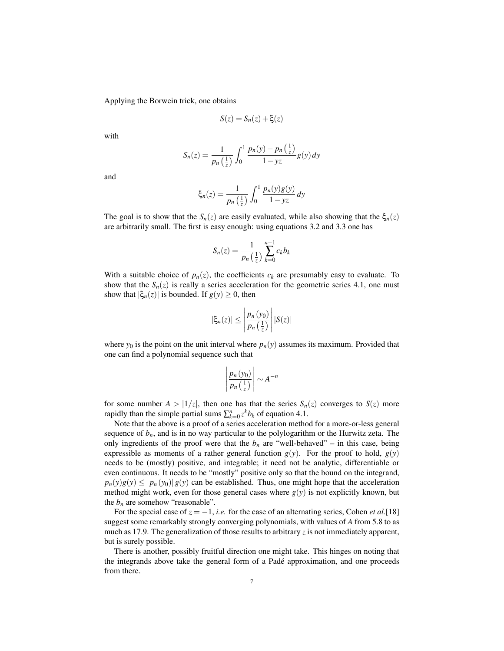Applying the Borwein trick, one obtains

$$
S(z) = S_n(z) + \xi(z)
$$

with

$$
S_n(z) = \frac{1}{p_n\left(\frac{1}{z}\right)} \int_0^1 \frac{p_n(y) - p_n\left(\frac{1}{z}\right)}{1 - yz} g(y) \, dy
$$

and

$$
\xi_n(z) = \frac{1}{p_n\left(\frac{1}{z}\right)} \int_0^1 \frac{p_n(y)g(y)}{1 - yz} \, dy
$$

The goal is to show that the  $S_n(z)$  are easily evaluated, while also showing that the  $\xi_n(z)$ are arbitrarily small. The first is easy enough: using equations 3.2 and 3.3 one has

$$
S_n(z) = \frac{1}{p_n\left(\frac{1}{z}\right)}\sum_{k=0}^{n-1}c_kb_k
$$

With a suitable choice of  $p_n(z)$ , the coefficients  $c_k$  are presumably easy to evaluate. To show that the  $S_n(z)$  is really a series acceleration for the geometric series 4.1, one must show that  $|\xi_n(z)|$  is bounded. If  $g(y) \ge 0$ , then

$$
|\xi_n(z)| \leq \left| \frac{p_n(y_0)}{p_n\left(\frac{1}{z}\right)} \right| |S(z)|
$$

where  $y_0$  is the point on the unit interval where  $p_n(y)$  assumes its maximum. Provided that one can find a polynomial sequence such that

$$
\left|\frac{p_n(y_0)}{p_n\left(\frac{1}{z}\right)}\right| \sim A^{-n}
$$

for some number  $A > |1/z|$ , then one has that the series  $S_n(z)$  converges to  $S(z)$  more rapidly than the simple partial sums  $\sum_{k=0}^{n} z^k b_k$  of equation 4.1.

Note that the above is a proof of a series acceleration method for a more-or-less general sequence of  $b_n$ , and is in no way particular to the polylogarithm or the Hurwitz zeta. The only ingredients of the proof were that the  $b_n$  are "well-behaved" – in this case, being expressible as moments of a rather general function  $g(y)$ . For the proof to hold,  $g(y)$ needs to be (mostly) positive, and integrable; it need not be analytic, differentiable or even continuous. It needs to be "mostly" positive only so that the bound on the integrand,  $p_n(y)g(y) \leq |p_n(y_0)|g(y)$  can be established. Thus, one might hope that the acceleration method might work, even for those general cases where  $g(y)$  is not explicitly known, but the  $b_n$  are somehow "reasonable".

For the special case of  $z = -1$ , *i.e.* for the case of an alternating series, Cohen *et al.*[18] suggest some remarkably strongly converging polynomials, with values of *A* from 5.8 to as much as 17.9. The generalization of those results to arbitrary *z* is not immediately apparent, but is surely possible.

There is another, possibly fruitful direction one might take. This hinges on noting that the integrands above take the general form of a Padé approximation, and one proceeds from there.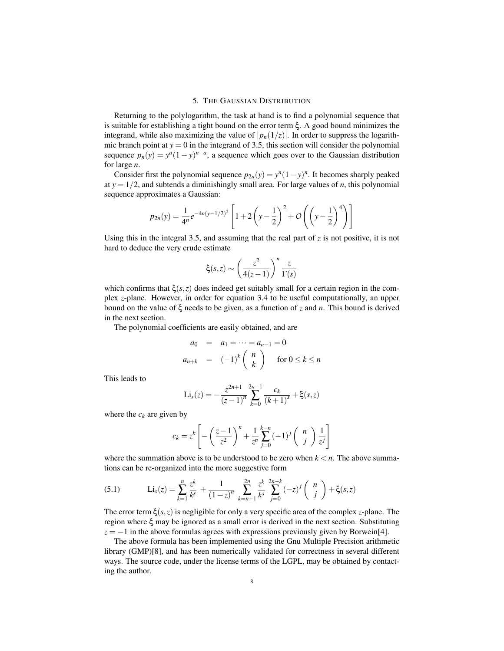# 5. THE GAUSSIAN DISTRIBUTION

Returning to the polylogarithm, the task at hand is to find a polynomial sequence that is suitable for establishing a tight bound on the error term ξ. A good bound minimizes the integrand, while also maximizing the value of  $|p_n(1/z)|$ . In order to suppress the logarithmic branch point at  $y = 0$  in the integrand of 3.5, this section will consider the polynomial sequence  $p_n(y) = y^a(1-y)^{n-a}$ , a sequence which goes over to the Gaussian distribution for large *n*.

Consider first the polynomial sequence  $p_{2n}(y) = y^n(1-y)^n$ . It becomes sharply peaked at  $y = 1/2$ , and subtends a diminishingly small area. For large values of *n*, this polynomial sequence approximates a Gaussian:

$$
p_{2n}(y) = \frac{1}{4^n} e^{-4n(y-1/2)^2} \left[ 1 + 2\left(y - \frac{1}{2}\right)^2 + O\left(\left(y - \frac{1}{2}\right)^4\right) \right]
$$

Using this in the integral 3.5, and assuming that the real part of *z* is not positive, it is not hard to deduce the very crude estimate

$$
\xi(s,z) \sim \left(\frac{z^2}{4(z-1)}\right)^n \frac{z}{\Gamma(s)}
$$

which confirms that  $\xi(s, z)$  does indeed get suitably small for a certain region in the complex *z*-plane. However, in order for equation 3.4 to be useful computationally, an upper bound on the value of ξ needs to be given, as a function of *z* and *n*. This bound is derived in the next section.

The polynomial coefficients are easily obtained, and are

$$
a_0 = a_1 = \dots = a_{n-1} = 0
$$
  

$$
a_{n+k} = (-1)^k \binom{n}{k} \quad \text{for } 0 \le k \le n
$$

This leads to

$$
\text{Li}_s(z) = -\frac{z^{2n+1}}{(z-1)^n} \sum_{k=0}^{2n-1} \frac{c_k}{(k+1)^s} + \xi(s, z)
$$

where the  $c_k$  are given by

$$
c_k = z^k \left[ -\left(\frac{z-1}{z^2}\right)^n + \frac{1}{z^n} \sum_{j=0}^{k-n} (-1)^j \binom{n}{j} \frac{1}{z^j} \right]
$$

where the summation above is to be understood to be zero when  $k < n$ . The above summations can be re-organized into the more suggestive form

(5.1) 
$$
\text{Li}_s(z) = \sum_{k=1}^n \frac{z^k}{k^s} + \frac{1}{(1-z)^n} \sum_{k=n+1}^{2n} \frac{z^k}{k^s} \sum_{j=0}^{2n-k} (-z)^j {n \choose j} + \xi(s, z)
$$

The error term  $\xi(s, z)$  is negligible for only a very specific area of the complex *z*-plane. The region where ξ may be ignored as a small error is derived in the next section. Substituting  $z = -1$  in the above formulas agrees with expressions previously given by Borwein[4].

The above formula has been implemented using the Gnu Multiple Precision arithmetic library (GMP)[8], and has been numerically validated for correctness in several different ways. The source code, under the license terms of the LGPL, may be obtained by contacting the author.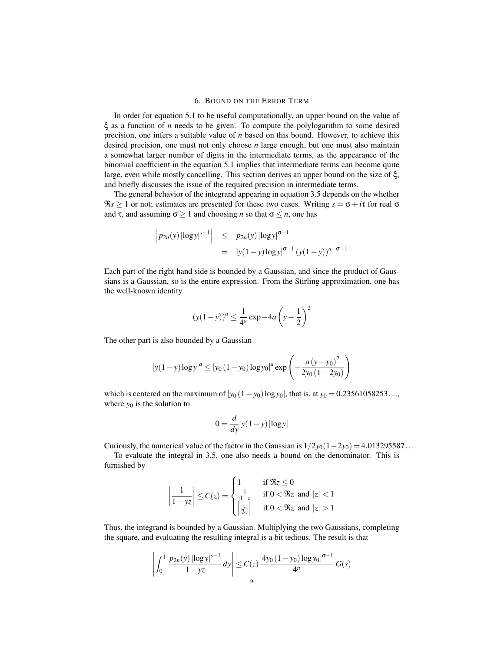#### 6. BOUND ON THE ERROR TERM

In order for equation 5.1 to be useful computationally, an upper bound on the value of ξ as a function of *n* needs to be given. To compute the polylogarithm to some desired precision, one infers a suitable value of *n* based on this bound. However, to achieve this desired precision, one must not only choose *n* large enough, but one must also maintain a somewhat larger number of digits in the intermediate terms, as the appearance of the binomial coefficient in the equation 5.1 implies that intermediate terms can become quite large, even while mostly cancelling. This section derives an upper bound on the size of ξ, and briefly discusses the issue of the required precision in intermediate terms.

The general behavior of the integrand appearing in equation 3.5 depends on the whether  $\Re s \ge 1$  or not; estimates are presented for these two cases. Writing  $s = \sigma + i\tau$  for real  $\sigma$ and  $\tau$ , and assuming  $\sigma \ge 1$  and choosing *n* so that  $\sigma \le n$ , one has

$$
\begin{array}{rcl}\n\left| p_{2n}(y) \left| \log y \right|^{s-1} \right| & \leq & p_{2n}(y) \left| \log y \right|^{6-1} \\
& = & \left| y(1-y) \log y \right|^{6-1} \left( y(1-y) \right)^{n-6+1}\n\end{array}
$$

Each part of the right hand side is bounded by a Gaussian, and since the product of Gaussians is a Gaussian, so is the entire expression. From the Stirling approximation, one has the well-known identity

$$
(y(1-y))^a \le \frac{1}{4^a} \exp(-4a\left(y - \frac{1}{2}\right)^2)
$$

The other part is also bounded by a Gaussian

$$
|y(1-y)\log y|^a \le |y_0(1-y_0)\log y_0|^a \exp\left(-\frac{a(y-y_0)^2}{2y_0(1-2y_0)}\right)
$$

which is centered on the maximum of  $|y_0 (1 - y_0) \log y_0|$ , that is, at  $y_0 = 0.23561058253...$ where  $y_0$  is the solution to

$$
0 = \frac{d}{dy} y(1 - y) |\log y|
$$

Curiously, the numerical value of the factor in the Gaussian is  $1/2y_0(1-2y_0) = 4.013295587...$ 

To evaluate the integral in 3.5, one also needs a bound on the denominator. This is furnished by

$$
\left|\frac{1}{1-yz}\right| \leq C(z) = \begin{cases} 1 & \text{if } \Re z \leq 0\\ \frac{1}{|1-z|} & \text{if } 0 < \Re z \text{ and } |z| < 1\\ \frac{z}{\Im z} & \text{if } 0 < \Re z \text{ and } |z| > 1 \end{cases}
$$

Thus, the integrand is bounded by a Gaussian. Multiplying the two Gaussians, completing the square, and evaluating the resulting integral is a bit tedious. The result is that

$$
\left| \int_0^1 \frac{p_{2n}(y) \left| \log y \right|^{s-1}}{1 - yz} dy \right| \le C(z) \frac{\left| 4y_0 \left( 1 - y_0 \right) \log y_0 \right|^{6-1}}{4^n} G(s)
$$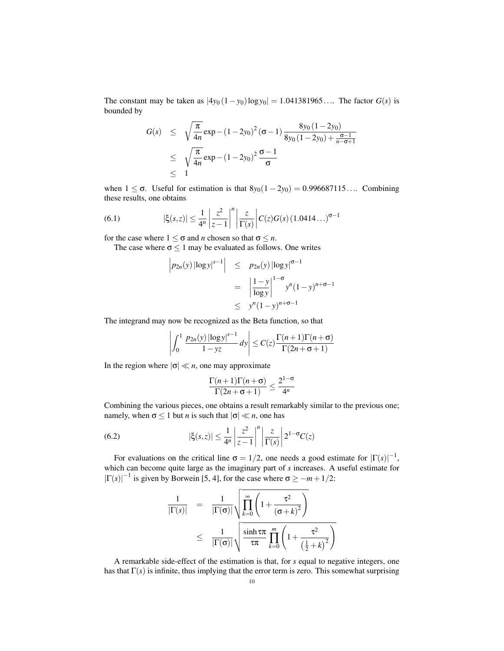The constant may be taken as  $|4y_0(1-y_0)\log y_0| = 1.041381965...$  The factor *G(s)* is bounded by

$$
G(s) \leq \sqrt{\frac{\pi}{4n}} \exp - (1 - 2y_0)^2 (\sigma - 1) \frac{8y_0 (1 - 2y_0)}{8y_0 (1 - 2y_0) + \frac{\sigma - 1}{n - \sigma + 1}}
$$
  
\n
$$
\leq \sqrt{\frac{\pi}{4n}} \exp - (1 - 2y_0)^2 \frac{\sigma - 1}{\sigma}
$$
  
\n
$$
\leq 1
$$

when  $1 \leq \sigma$ . Useful for estimation is that  $8y_0(1-2y_0) = 0.996687115...$  Combining these results, one obtains

(6.1) 
$$
|\xi(s,z)| \leq \frac{1}{4^n} \left| \frac{z^2}{z-1} \right|^n \left| \frac{z}{\Gamma(s)} \right| C(z) G(s) (1.0414...)^{\sigma-1}
$$

for the case where  $1 \leq \sigma$  and *n* chosen so that  $\sigma \leq n$ .

The case where  $\sigma \leq 1$  may be evaluated as follows. One writes

$$
\begin{array}{lcl}\n\left|p_{2n}(y) \left| \log y \right|^{s-1} \right| & \leq & p_{2n}(y) \left| \log y \right|^{s-1} \\
& = & \left| \frac{1-y}{\log y} \right|^{1-\sigma} y^n (1-y)^{n+\sigma-1} \\
& \leq & y^n (1-y)^{n+\sigma-1}\n\end{array}
$$

The integrand may now be recognized as the Beta function, so that

$$
\left| \int_0^1 \frac{p_{2n}(y) |\log y|^{s-1}}{1-yz} dy \right| \le C(z) \frac{\Gamma(n+1)\Gamma(n+\sigma)}{\Gamma(2n+\sigma+1)}
$$

In the region where  $|\sigma| \ll n$ , one may approximate

$$
\frac{\Gamma(n+1)\Gamma(n+\sigma)}{\Gamma(2n+\sigma+1)} \le \frac{2^{1-\sigma}}{4^n}
$$

Combining the various pieces, one obtains a result remarkably similar to the previous one; namely, when  $\sigma \le 1$  but *n* is such that  $|\sigma| \ll n$ , one has

(6.2) 
$$
|\xi(s,z)| \leq \frac{1}{4^n} \left| \frac{z^2}{z-1} \right|^n \left| \frac{z}{\Gamma(s)} \right| 2^{1-\sigma} C(z)
$$

For evaluations on the critical line  $\sigma = 1/2$ , one needs a good estimate for  $|\Gamma(s)|^{-1}$ , which can become quite large as the imaginary part of *s* increases. A useful estimate for  $|\Gamma(s)|^{-1}$  is given by Borwein [5, 4], for the case where  $\sigma \ge -m+1/2$ :

$$
\frac{1}{|\Gamma(s)|} = \frac{1}{|\Gamma(\sigma)|} \sqrt{\prod_{k=0}^{\infty} \left(1 + \frac{\tau^2}{(\sigma + k)^2}\right)}
$$
  

$$
\leq \frac{1}{|\Gamma(\sigma)|} \sqrt{\frac{\sinh \tau \pi}{\tau \pi} \prod_{k=0}^{m} \left(1 + \frac{\tau^2}{\left(\frac{1}{2} + k\right)^2}\right)}
$$

A remarkable side-effect of the estimation is that, for *s* equal to negative integers, one has that  $\Gamma(s)$  is infinite, thus implying that the error term is zero. This somewhat surprising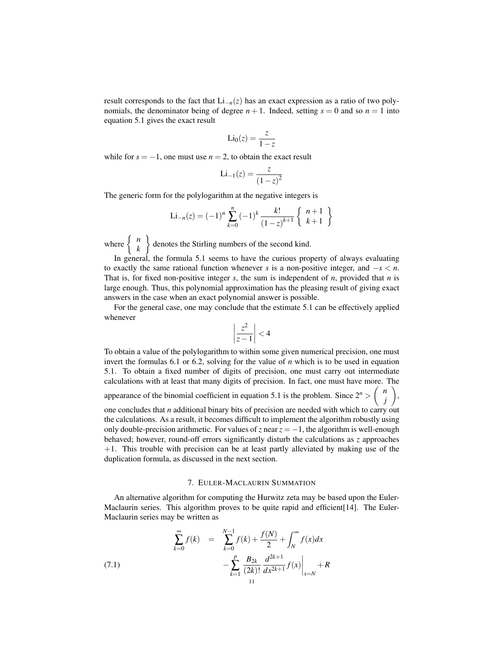result corresponds to the fact that  $Li_{-n}(z)$  has an exact expression as a ratio of two polynomials, the denominator being of degree  $n + 1$ . Indeed, setting  $s = 0$  and so  $n = 1$  into equation 5.1 gives the exact result

$$
\text{Li}_0(z) = \frac{z}{1 - z}
$$

while for  $s = -1$ , one must use  $n = 2$ , to obtain the exact result

$$
Li_{-1}(z) = \frac{z}{(1-z)^2}
$$

The generic form for the polylogarithm at the negative integers is

$$
\text{Li}_{-n}(z) = (-1)^n \sum_{k=0}^n (-1)^k \frac{k!}{(1-z)^{k+1}} \left\{ \begin{array}{c} n+1\\ k+1 \end{array} \right\}
$$

where  $\begin{cases} n \\ k \end{cases}$ *k*  $\mathbf{A}$ denotes the Stirling numbers of the second kind.

In general, the formula 5.1 seems to have the curious property of always evaluating to exactly the same rational function whenever *s* is a non-positive integer, and  $-s < n$ . That is, for fixed non-positive integer *s*, the sum is independent of *n*, provided that *n* is large enough. Thus, this polynomial approximation has the pleasing result of giving exact answers in the case when an exact polynomial answer is possible.

For the general case, one may conclude that the estimate 5.1 can be effectively applied whenever  $\overline{a}$  $\overline{a}$ 

$$
\left|\frac{z^2}{z-1}\right| < 4
$$

To obtain a value of the polylogarithm to within some given numerical precision, one must invert the formulas 6.1 or 6.2, solving for the value of *n* which is to be used in equation 5.1. To obtain a fixed number of digits of precision, one must carry out intermediate calculations with at least that many digits of precision. In fact, one must have more. The appearance of the binomial coefficient in equation 5.1 is the problem. Since  $2^n > \binom{n}{n}$ *j* , one concludes that *n* additional binary bits of precision are needed with which to carry out the calculations. As a result, it becomes difficult to implement the algorithm robustly using only double-precision arithmetic. For values of *z* near  $z = -1$ , the algorithm is well-enough behaved; however, round-off errors significantly disturb the calculations as *z* approaches  $+1$ . This trouble with precision can be at least partly alleviated by making use of the duplication formula, as discussed in the next section.

#### 7. EULER-MACLAURIN SUMMATION

An alternative algorithm for computing the Hurwitz zeta may be based upon the Euler-Maclaurin series. This algorithm proves to be quite rapid and efficient [14]. The Euler-Maclaurin series may be written as

(7.1) 
$$
\sum_{k=0}^{\infty} f(k) = \sum_{k=0}^{N-1} f(k) + \frac{f(N)}{2} + \int_{N}^{\infty} f(x) dx - \sum_{k=1}^{P} \frac{B_{2k}}{(2k)!} \frac{d^{2k+1}}{dx^{2k+1}} f(x) \Big|_{x=N} + R
$$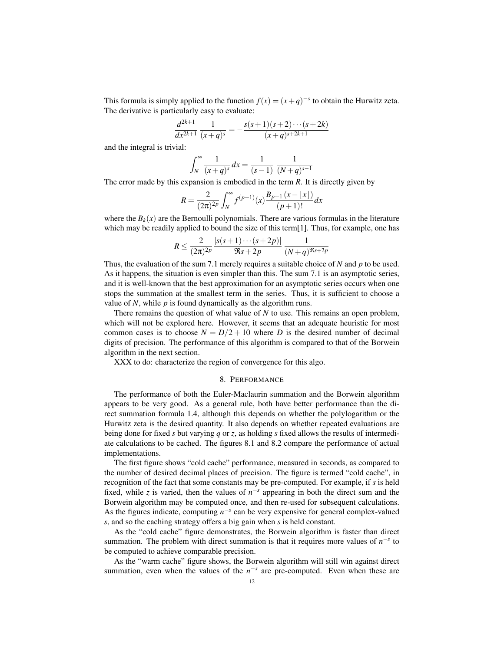This formula is simply applied to the function  $f(x) = (x+q)^{-s}$  to obtain the Hurwitz zeta. The derivative is particularly easy to evaluate:

$$
\frac{d^{2k+1}}{dx^{2k+1}}\frac{1}{(x+q)^s} = -\frac{s(s+1)(s+2)\cdots(s+2k)}{(x+q)^{s+2k+1}}
$$

and the integral is trivial:

$$
\int_{N}^{\infty} \frac{1}{(x+q)^s} dx = \frac{1}{(s-1)} \frac{1}{(N+q)^{s-1}}
$$

The error made by this expansion is embodied in the term *R*. It is directly given by

$$
R = \frac{2}{(2\pi)^{2p}} \int_{N}^{\infty} f^{(p+1)}(x) \frac{B_{p+1}(x - \lfloor x \rfloor)}{(p+1)!} dx
$$

where the  $B_k(x)$  are the Bernoulli polynomials. There are various formulas in the literature which may be readily applied to bound the size of this term[1]. Thus, for example, one has

$$
R \le \frac{2}{(2\pi)^{2p}} \frac{|s(s+1)\cdots(s+2p)|}{\Re s + 2p} \frac{1}{(N+q)^{\Re s + 2p}}
$$

Thus, the evaluation of the sum 7.1 merely requires a suitable choice of *N* and *p* to be used. As it happens, the situation is even simpler than this. The sum 7.1 is an asymptotic series, and it is well-known that the best approximation for an asymptotic series occurs when one stops the summation at the smallest term in the series. Thus, it is sufficient to choose a value of *N*, while *p* is found dynamically as the algorithm runs.

There remains the question of what value of *N* to use. This remains an open problem, which will not be explored here. However, it seems that an adequate heuristic for most common cases is to choose  $N = D/2 + 10$  where *D* is the desired number of decimal digits of precision. The performance of this algorithm is compared to that of the Borwein algorithm in the next section.

XXX to do: characterize the region of convergence for this algo.

# 8. PERFORMANCE

The performance of both the Euler-Maclaurin summation and the Borwein algorithm appears to be very good. As a general rule, both have better performance than the direct summation formula 1.4, although this depends on whether the polylogarithm or the Hurwitz zeta is the desired quantity. It also depends on whether repeated evaluations are being done for fixed *s* but varying *q* or *z*, as holding *s* fixed allows the results of intermediate calculations to be cached. The figures 8.1 and 8.2 compare the performance of actual implementations.

The first figure shows "cold cache" performance, measured in seconds, as compared to the number of desired decimal places of precision. The figure is termed "cold cache", in recognition of the fact that some constants may be pre-computed. For example, if *s* is held fixed, while *z* is varied, then the values of  $n^{-s}$  appearing in both the direct sum and the Borwein algorithm may be computed once, and then re-used for subsequent calculations. As the figures indicate, computing  $n^{-s}$  can be very expensive for general complex-valued *s*, and so the caching strategy offers a big gain when *s* is held constant.

As the "cold cache" figure demonstrates, the Borwein algorithm is faster than direct summation. The problem with direct summation is that it requires more values of  $n^{-s}$  to be computed to achieve comparable precision.

As the "warm cache" figure shows, the Borwein algorithm will still win against direct summation, even when the values of the  $n^{-s}$  are pre-computed. Even when these are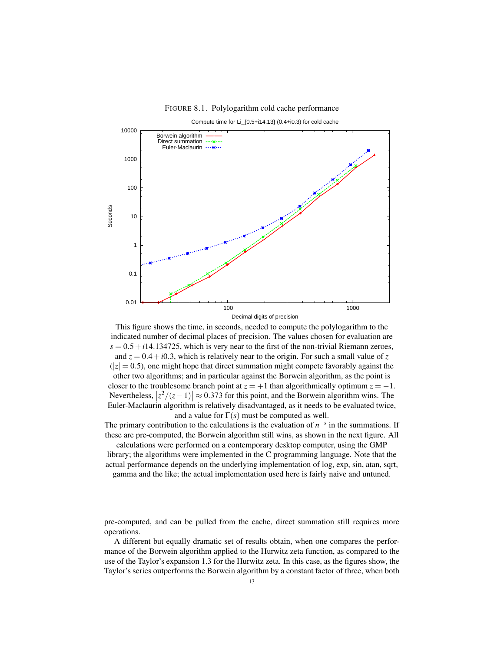# FIGURE 8.1. Polylogarithm cold cache performance

Compute time for Li\_{0.5+i14.13} (0.4+i0.3) for cold cache 10000 Borwein algorithm Direct summation  $-3(-1)$ Euler-Maclaurin  $\cdots$   $\mathbf{H}$  1000 100 **Seconds**  10 1 0.1 0.01 100 1000 1000 1000 1000 1000 1000 1000 1000 1000 1000 1000 1000 1000 1000 1000 1000 1000 1000 1000 1000 1000 1000 1000 1000 1000 1000 1000 1000 1000 1000 1000 1000 1000 1000 1000 1000 1000 1000 1000 1000 1000 1000 1000 1000

Decimal digits of precision

This figure shows the time, in seconds, needed to compute the polylogarithm to the indicated number of decimal places of precision. The values chosen for evaluation are  $s = 0.5 + i14.134725$ , which is very near to the first of the non-trivial Riemann zeroes, and  $z = 0.4 + i0.3$ , which is relatively near to the origin. For such a small value of z  $(|z| = 0.5)$ , one might hope that direct summation might compete favorably against the other two algorithms; and in particular against the Borwein algorithm, as the point is closer to the troublesome branch point at  $z = +1$  than algorithmically optimum  $z = -1$ . Nevertheless,  $|z^2/(z-1)| \approx 0.373$  for this point, and the Borwein algorithm wins. The Euler-Maclaurin algorithm is relatively disadvantaged, as it needs to be evaluated twice, and a value for  $\Gamma(s)$  must be computed as well.

The primary contribution to the calculations is the evaluation of  $n^{-s}$  in the summations. If these are pre-computed, the Borwein algorithm still wins, as shown in the next figure. All calculations were performed on a contemporary desktop computer, using the GMP

library; the algorithms were implemented in the C programming language. Note that the actual performance depends on the underlying implementation of log, exp, sin, atan, sqrt,

gamma and the like; the actual implementation used here is fairly naive and untuned.

pre-computed, and can be pulled from the cache, direct summation still requires more operations.

A different but equally dramatic set of results obtain, when one compares the performance of the Borwein algorithm applied to the Hurwitz zeta function, as compared to the use of the Taylor's expansion 1.3 for the Hurwitz zeta. In this case, as the figures show, the Taylor's series outperforms the Borwein algorithm by a constant factor of three, when both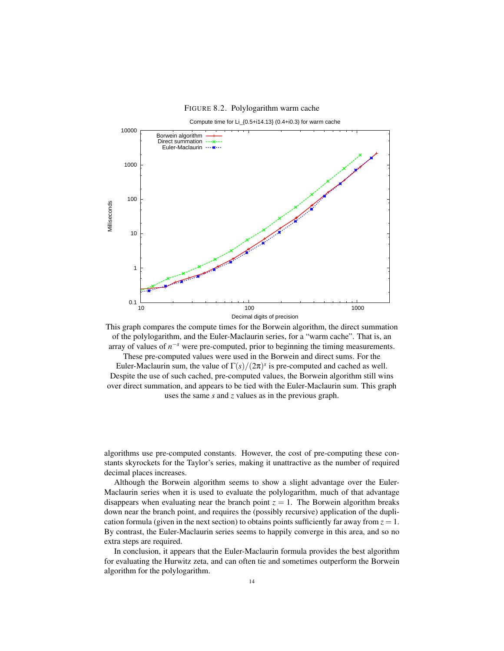FIGURE 8.2. Polylogarithm warm cache



This graph compares the compute times for the Borwein algorithm, the direct summation of the polylogarithm, and the Euler-Maclaurin series, for a "warm cache". That is, an array of values of  $n^{-s}$  were pre-computed, prior to beginning the timing measurements.

These pre-computed values were used in the Borwein and direct sums. For the Euler-Maclaurin sum, the value of  $\Gamma(s)/(2\pi)^s$  is pre-computed and cached as well. Despite the use of such cached, pre-computed values, the Borwein algorithm still wins over direct summation, and appears to be tied with the Euler-Maclaurin sum. This graph uses the same *s* and *z* values as in the previous graph.

algorithms use pre-computed constants. However, the cost of pre-computing these constants skyrockets for the Taylor's series, making it unattractive as the number of required decimal places increases.

Although the Borwein algorithm seems to show a slight advantage over the Euler-Maclaurin series when it is used to evaluate the polylogarithm, much of that advantage disappears when evaluating near the branch point  $z = 1$ . The Borwein algorithm breaks down near the branch point, and requires the (possibly recursive) application of the duplication formula (given in the next section) to obtains points sufficiently far away from  $z = 1$ . By contrast, the Euler-Maclaurin series seems to happily converge in this area, and so no extra steps are required.

In conclusion, it appears that the Euler-Maclaurin formula provides the best algorithm for evaluating the Hurwitz zeta, and can often tie and sometimes outperform the Borwein algorithm for the polylogarithm.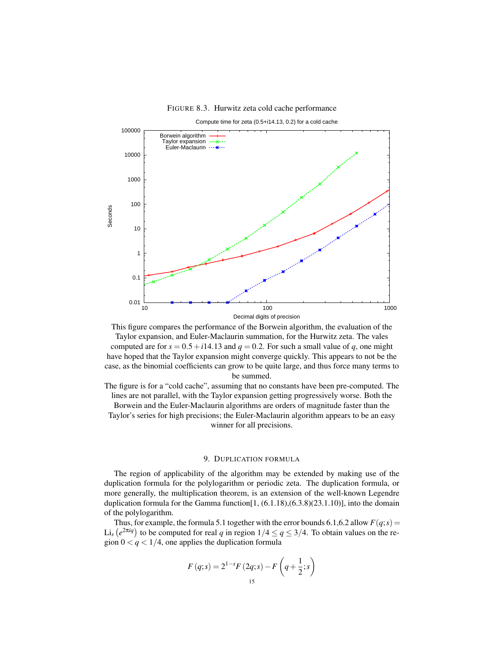# FIGURE 8.3. Hurwitz zeta cold cache performance

Compute time for zeta (0.5+i14.13, 0.2) for a cold cache 100000 Borwein algorithm  $- - -36 - - -$ Taylor expansion Euler-Maclaurin  $\cdots$   $\mathbf{H}$  10000 1000 100 **Seconds**  10 1 0.1 0.01 10 100 1000 Decimal digits of precision

This figure compares the performance of the Borwein algorithm, the evaluation of the Taylor expansion, and Euler-Maclaurin summation, for the Hurwitz zeta. The vales computed are for  $s = 0.5 + i14.13$  and  $q = 0.2$ . For such a small value of q, one might have hoped that the Taylor expansion might converge quickly. This appears to not be the case, as the binomial coefficients can grow to be quite large, and thus force many terms to be summed.

The figure is for a "cold cache", assuming that no constants have been pre-computed. The lines are not parallel, with the Taylor expansion getting progressively worse. Both the Borwein and the Euler-Maclaurin algorithms are orders of magnitude faster than the Taylor's series for high precisions; the Euler-Maclaurin algorithm appears to be an easy winner for all precisions.

# 9. DUPLICATION FORMULA

The region of applicability of the algorithm may be extended by making use of the duplication formula for the polylogarithm or periodic zeta. The duplication formula, or more generally, the multiplication theorem, is an extension of the well-known Legendre duplication formula for the Gamma function  $[1, (6.1.18), (6.3.8)(23.1.10)]$ , into the domain of the polylogarithm.

Thus, for example, the formula 5.1 together with the error bounds 6.1,6.2 allow  $F(q; s) =$ Thus, for example, the formula 5.1 together with the error bounds 6.1,6.2 allow  $F(q; s) =$ <br>Li<sub>s</sub>  $(e^{2\pi i q})$  to be computed for real *q* in region  $1/4 \le q \le 3/4$ . To obtain values on the region  $0 < q < 1/4$ , one applies the duplication formula

$$
F(q; s) = 2^{1-s} F(2q; s) - F\left(q + \frac{1}{2}; s\right)
$$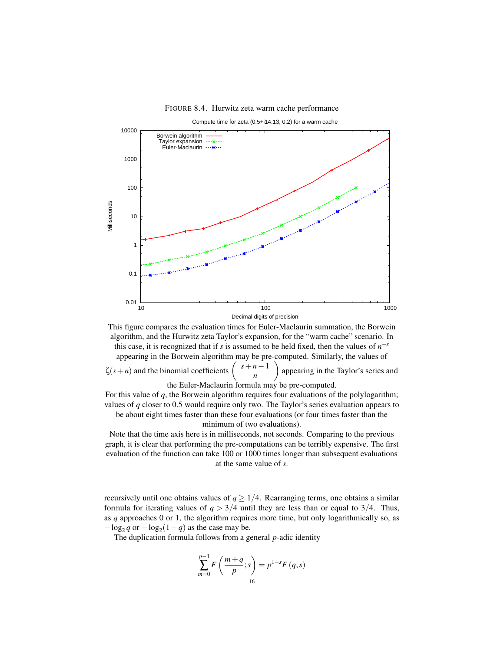#### FIGURE 8.4. Hurwitz zeta warm cache performance

 0.01 0.1 1 10 100 1000 10000 10 100 1000 Milliseconds Decimal digits of precision Compute time for zeta (0.5+i14.13, 0.2) for a warm cache Borwein algorithm Taylor expansion Euler-Maclaurin

This figure compares the evaluation times for Euler-Maclaurin summation, the Borwein algorithm, and the Hurwitz zeta Taylor's expansion, for the "warm cache" scenario. In this case, it is recognized that if *s* is assumed to be held fixed, then the values of  $n^{-s}$ 

appearing in the Borwein algorithm may be pre-computed. Similarly, the values of  $\zeta(s+n)$  and the binomial coefficients *s*+*n*−1 *n* appearing in the Taylor's series and the Euler-Maclaurin formula may be pre-computed.

For this value of *q*, the Borwein algorithm requires four evaluations of the polylogarithm; values of *q* closer to 0.5 would require only two. The Taylor's series evaluation appears to be about eight times faster than these four evaluations (or four times faster than the minimum of two evaluations).

Note that the time axis here is in milliseconds, not seconds. Comparing to the previous graph, it is clear that performing the pre-computations can be terribly expensive. The first evaluation of the function can take 100 or 1000 times longer than subsequent evaluations at the same value of *s*.

recursively until one obtains values of  $q \geq 1/4$ . Rearranging terms, one obtains a similar formula for iterating values of  $q > 3/4$  until they are less than or equal to  $3/4$ . Thus, as *q* approaches 0 or 1, the algorithm requires more time, but only logarithmically so, as  $-\log_2 q$  or  $-\log_2(1-q)$  as the case may be.

The duplication formula follows from a general *p*-adic identity

$$
\sum_{m=0}^{p-1} F\left(\frac{m+q}{p}; s\right) = p^{1-s} F(q; s)
$$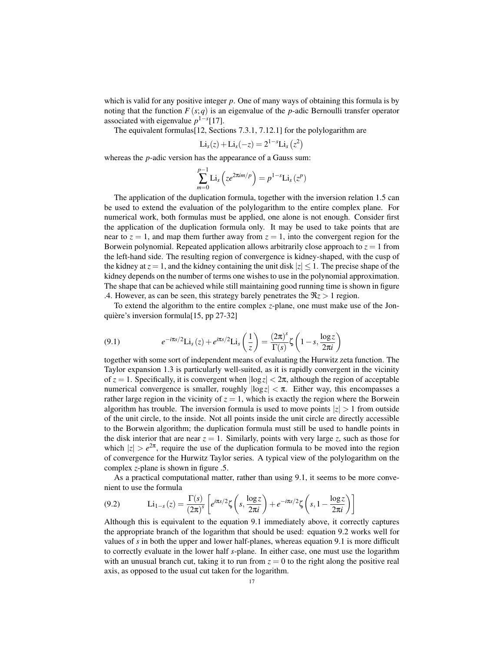which is valid for any positive integer *p*. One of many ways of obtaining this formula is by noting that the function  $F(s;q)$  is an eigenvalue of the *p*-adic Bernoulli transfer operator associated with eigenvalue  $p^{1-s}[17]$ .

The equivalent formulas[12, Sections 7.3.1, 7.12.1] for the polylogarithm are ¢

$$
\text{Li}_s(z) + \text{Li}_s(-z) = 2^{1-s} \text{Li}_s(z^2)
$$

whereas the *p*-adic version has the appearance of a Gauss sum:

$$
\sum_{m=0}^{p-1} \text{Li}_s\left(ze^{2\pi im/p}\right) = p^{1-s}\text{Li}_s\left(z^p\right)
$$

The application of the duplication formula, together with the inversion relation 1.5 can be used to extend the evaluation of the polylogarithm to the entire complex plane. For numerical work, both formulas must be applied, one alone is not enough. Consider first the application of the duplication formula only. It may be used to take points that are near to  $z = 1$ , and map them further away from  $z = 1$ , into the convergent region for the Borwein polynomial. Repeated application allows arbitrarily close approach to *z* = 1 from the left-hand side. The resulting region of convergence is kidney-shaped, with the cusp of the kidney at  $z = 1$ , and the kidney containing the unit disk  $|z| \leq 1$ . The precise shape of the kidney depends on the number of terms one wishes to use in the polynomial approximation. The shape that can be achieved while still maintaining good running time is shown in figure .4. However, as can be seen, this strategy barely penetrates the  $\Re z > 1$  region.

To extend the algorithm to the entire complex *z*-plane, one must make use of the Jonquière's inversion formula[15, pp 27-32]

(9.1) 
$$
e^{-i\pi s/2} \text{Li}_s(z) + e^{i\pi s/2} \text{Li}_s\left(\frac{1}{z}\right) = \frac{(2\pi)^s}{\Gamma(s)} \zeta\left(1-s, \frac{\log z}{2\pi i}\right)
$$

together with some sort of independent means of evaluating the Hurwitz zeta function. The Taylor expansion 1.3 is particularly well-suited, as it is rapidly convergent in the vicinity of  $z = 1$ . Specifically, it is convergent when  $|\log z| < 2\pi$ , although the region of acceptable numerical convergence is smaller, roughly  $|\log z| < \pi$ . Either way, this encompasses a rather large region in the vicinity of  $z = 1$ , which is exactly the region where the Borwein algorithm has trouble. The inversion formula is used to move points  $|z| > 1$  from outside of the unit circle, to the inside. Not all points inside the unit circle are directly accessible to the Borwein algorithm; the duplication formula must still be used to handle points in the disk interior that are near  $z = 1$ . Similarly, points with very large *z*, such as those for which  $|z| > e^{2\pi}$ , require the use of the duplication formula to be moved into the region of convergence for the Hurwitz Taylor series. A typical view of the polylogarithm on the complex *z*-plane is shown in figure .5.

As a practical computational matter, rather than using 9.1, it seems to be more convenient to use the formula ·  $\overline{a}$  $\mathbf{r}$  $\overline{a}$  $\frac{1}{2}$ 

$$
(9.2) \qquad \mathbf{Li}_{1-s}(z) = \frac{\Gamma(s)}{(2\pi)^s} \left[ e^{i\pi s/2} \zeta \left( s, \frac{\log z}{2\pi i} \right) + e^{-i\pi s/2} \zeta \left( s, 1 - \frac{\log z}{2\pi i} \right) \right]
$$

Although this is equivalent to the equation 9.1 immediately above, it correctly captures the appropriate branch of the logarithm that should be used: equation 9.2 works well for values of *s* in both the upper and lower half-planes, whereas equation 9.1 is more difficult to correctly evaluate in the lower half *s*-plane. In either case, one must use the logarithm with an unusual branch cut, taking it to run from  $z = 0$  to the right along the positive real axis, as opposed to the usual cut taken for the logarithm.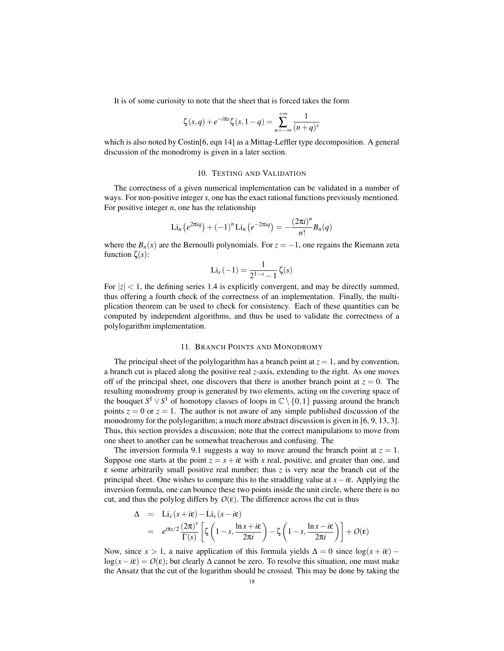It is of some curiosity to note that the sheet that is forced takes the form

$$
\zeta(s,q) + e^{-i\pi s} \zeta(s, 1-q) = \sum_{n=-\infty}^{+\infty} \frac{1}{(n+q)^s}
$$

which is also noted by Costin<sup>[6]</sup>, eqn 14] as a Mittag-Leffler type decomposition. A general discussion of the monodromy is given in a later section.

#### 10. TESTING AND VALIDATION

The correctness of a given numerical implementation can be validated in a number of ways. For non-positive integer*s*, one has the exact rational functions previously mentioned. For positive integer  $n$ , one has the relationship

$$
\operatorname{Li}_n\left(e^{2\pi i q}\right) + (-1)^n \operatorname{Li}_n\left(e^{-2\pi i q}\right) = -\frac{\left(2\pi i\right)^n}{n!} B_n(q)
$$

where the  $B_n(x)$  are the Bernoulli polynomials. For  $z = -1$ , one regains the Riemann zeta function ζ(*s*):

$$
Li_s\left(-1\right)=\frac{1}{2^{1-s}-1}\,\zeta(s)
$$

For  $|z| < 1$ , the defining series 1.4 is explicitly convergent, and may be directly summed, thus offering a fourth check of the correctness of an implementation. Finally, the multiplication theorem can be used to check for consistency. Each of these quantities can be computed by independent algorithms, and thus be used to validate the correctness of a polylogarithm implementation.

# 11. BRANCH POINTS AND MONODROMY

The principal sheet of the polylogarithm has a branch point at  $z = 1$ , and by convention, a branch cut is placed along the positive real *z*-axis, extending to the right. As one moves off of the principal sheet, one discovers that there is another branch point at  $z = 0$ . The resulting monodromy group is generated by two elements, acting on the covering space of the bouquet  $S^1 \vee S^1$  of homotopy classes of loops in  $\mathbb{C} \setminus \{0,1\}$  passing around the branch points  $z = 0$  or  $z = 1$ . The author is not aware of any simple published discussion of the monodromy for the polylogarithm; a much more abstract discussion is given in [6, 9, 13, 3]. Thus, this section provides a discussion; note that the correct manipulations to move from one sheet to another can be somewhat treacherous and confusing. The

The inversion formula 9.1 suggests a way to move around the branch point at  $z = 1$ . Suppose one starts at the point  $z = x + i\varepsilon$  with *x* real, positive, and greater than one, and ε some arbitrarily small positive real number; thus *z* is very near the branch cut of the principal sheet. One wishes to compare this to the straddling value at *x*−*i*ε. Applying the inversion formula, one can bounce these two points inside the unit circle, where there is no cut, and thus the polylog differs by  $O(\varepsilon)$ . The difference across the cut is thus

$$
\Delta = \text{Li}_s(x + i\epsilon) - \text{Li}_s(x - i\epsilon)
$$
  
=  $e^{i\pi s/2} \frac{(2\pi)^s}{\Gamma(s)} \left[ \zeta \left( 1 - s, \frac{\ln x + i\epsilon}{2\pi i} \right) - \zeta \left( 1 - s, \frac{\ln x - i\epsilon}{2\pi i} \right) \right] + O(\epsilon)$ 

Now, since  $x > 1$ , a naive application of this formula yields  $\Delta = 0$  since  $\log(x + i\varepsilon)$  – log( $x - i\epsilon$ ) =  $O(\epsilon)$ ; but clearly  $\Delta$  cannot be zero. To resolve this situation, one must make the Ansatz that the cut of the logarithm should be crossed. This may be done by taking the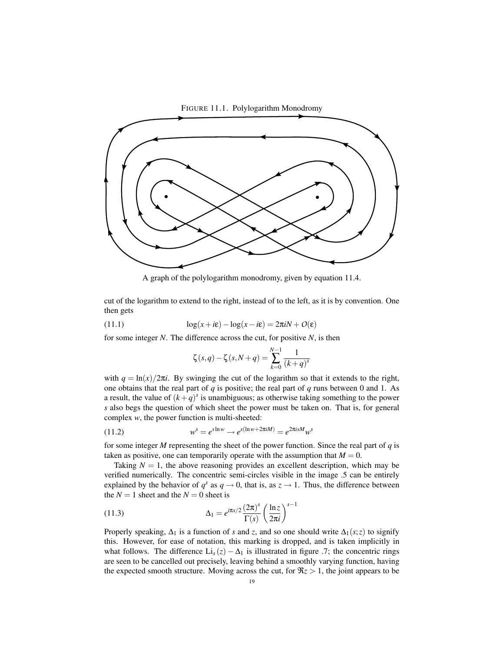

A graph of the polylogarithm monodromy, given by equation 11.4.

cut of the logarithm to extend to the right, instead of to the left, as it is by convention. One then gets

(11.1) 
$$
\log(x + i\epsilon) - \log(x - i\epsilon) = 2\pi i N + O(\epsilon)
$$

for some integer *N*. The difference across the cut, for positive *N*, is then

$$
\zeta(s,q) - \zeta(s,N+q) = \sum_{k=0}^{N-1} \frac{1}{(k+q)^s}
$$

with  $q = \ln(x)/2\pi i$ . By swinging the cut of the logarithm so that it extends to the right, one obtains that the real part of *q* is positive; the real part of *q* runs between 0 and 1. As a result, the value of  $(k+q)^s$  is unambiguous; as otherwise taking something to the power *s* also begs the question of which sheet the power must be taken on. That is, for general complex *w*, the power function is multi-sheeted:

(11.2) 
$$
w^{s} = e^{s \ln w} \rightarrow e^{s(\ln w + 2\pi i M)} = e^{2\pi i s M} w^{s}
$$

for some integer *M* representing the sheet of the power function. Since the real part of *q* is taken as positive, one can temporarily operate with the assumption that  $M = 0$ .

Taking  $N = 1$ , the above reasoning provides an excellent description, which may be verified numerically. The concentric semi-circles visible in the image .5 can be entirely explained by the behavior of  $q^s$  as  $q \to 0$ , that is, as  $z \to 1$ . Thus, the difference between the  $N = 1$  sheet and the  $N = 0$  sheet is

(11.3) 
$$
\Delta_1 = e^{i\pi s/2} \frac{(2\pi)^s}{\Gamma(s)} \left(\frac{\ln z}{2\pi i}\right)^{s-1}
$$

Properly speaking,  $\Delta_1$  is a function of *s* and *z*, and so one should write  $\Delta_1(s; z)$  to signify this. However, for ease of notation, this marking is dropped, and is taken implicitly in what follows. The difference  $Li_s(z) - \Delta_1$  is illustrated in figure .7; the concentric rings are seen to be cancelled out precisely, leaving behind a smoothly varying function, having the expected smooth structure. Moving across the cut, for  $\Re z > 1$ , the joint appears to be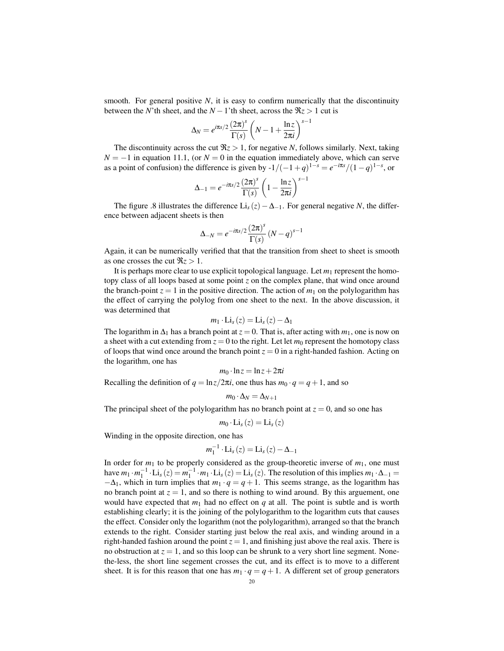smooth. For general positive  $N$ , it is easy to confirm numerically that the discontinuity between the *N*'th sheet, and the  $N-1$ 'th sheet, across the  $\Re z > 1$  cut is

$$
\Delta_N = e^{i\pi s/2} \frac{(2\pi)^s}{\Gamma(s)} \left(N - 1 + \frac{\ln z}{2\pi i}\right)^{s-1}
$$

The discontinuity across the cut  $\Re z > 1$ , for negative *N*, follows similarly. Next, taking  $N = -1$  in equation 11.1, (or  $N = 0$  in the equation immediately above, which can serve as a point of confusion) the difference is given by  $-1/(-1+q)^{1-s} = e^{-i\pi s}/(1-q)^{1-s}$ , or

$$
\Delta_{-1} = e^{-i\pi s/2} \frac{\left(2\pi\right)^s}{\Gamma(s)} \left(1 - \frac{\ln z}{2\pi i}\right)^{s-1}
$$

The figure .8 illustrates the difference Li<sub>s</sub> (*z*) –  $\Delta$ <sub>−1</sub>. For general negative *N*, the difference between adjacent sheets is then

$$
\Delta_{-N} = e^{-i\pi s/2} \frac{(2\pi)^s}{\Gamma(s)} (N-q)^{s-1}
$$

Again, it can be numerically verified that that the transition from sheet to sheet is smooth as one crosses the cut  $\Re z > 1$ .

It is perhaps more clear to use explicit topological language. Let  $m_1$  represent the homotopy class of all loops based at some point *z* on the complex plane, that wind once around the branch-point  $z = 1$  in the positive direction. The action of  $m_1$  on the polylogarithm has the effect of carrying the polylog from one sheet to the next. In the above discussion, it was determined that

$$
m_1 \cdot \mathrm{Li}_s(z) = \mathrm{Li}_s(z) - \Delta_1
$$

The logarithm in  $\Delta_1$  has a branch point at  $z = 0$ . That is, after acting with  $m_1$ , one is now on a sheet with a cut extending from  $z = 0$  to the right. Let let  $m_0$  represent the homotopy class of loops that wind once around the branch point  $z = 0$  in a right-handed fashion. Acting on the logarithm, one has

$$
m_0 \cdot \ln z = \ln z + 2\pi i
$$

Recalling the definition of  $q = \ln z/2\pi i$ , one thus has  $m_0 \cdot q = q + 1$ , and so

$$
m_0\cdot\Delta_N=\Delta_{N+1}
$$

The principal sheet of the polylogarithm has no branch point at  $z = 0$ , and so one has

$$
m_0 \cdot \mathrm{Li}_s(z) = \mathrm{Li}_s(z)
$$

Winding in the opposite direction, one has

$$
m_1^{-1} \cdot \text{Li}_s(z) = \text{Li}_s(z) - \Delta_{-1}
$$

In order for  $m_1$  to be properly considered as the group-theoretic inverse of  $m_1$ , one must have  $m_1 \cdot m_1^{-1} \cdot Li_s(z) = m_1^{-1} \cdot m_1 \cdot Li_s(z) = Li_s(z)$ . The resolution of this implies  $m_1 \cdot \Delta_{-1} =$  $-\Delta_1$ , which in turn implies that  $m_1 \cdot q = q + 1$ . This seems strange, as the logarithm has no branch point at  $z = 1$ , and so there is nothing to wind around. By this arguement, one would have expected that  $m_1$  had no effect on  $q$  at all. The point is subtle and is worth establishing clearly; it is the joining of the polylogarithm to the logarithm cuts that causes the effect. Consider only the logarithm (not the polylogarithm), arranged so that the branch extends to the right. Consider starting just below the real axis, and winding around in a right-handed fashion around the point  $z = 1$ , and finishing just above the real axis. There is no obstruction at  $z = 1$ , and so this loop can be shrunk to a very short line segment. Nonethe-less, the short line segement crosses the cut, and its effect is to move to a different sheet. It is for this reason that one has  $m_1 \cdot q = q + 1$ . A different set of group generators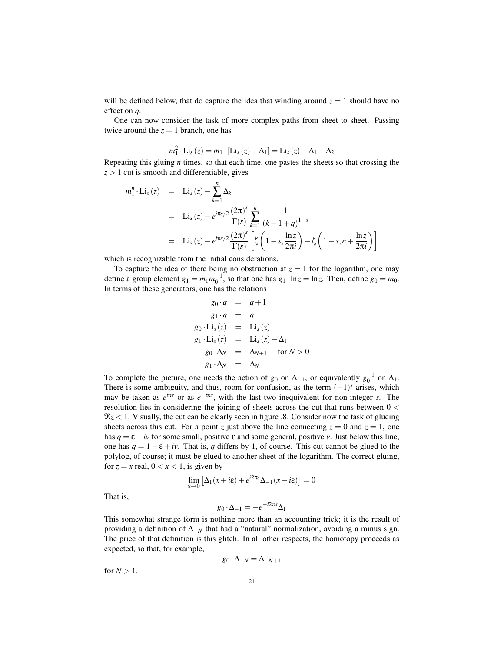will be defined below, that do capture the idea that winding around  $z = 1$  should have no effect on *q*.

One can now consider the task of more complex paths from sheet to sheet. Passing twice around the  $z = 1$  branch, one has

$$
m_1^2 \cdot \text{Li}_s(z) = m_1 \cdot [\text{Li}_s(z) - \Delta_1] = \text{Li}_s(z) - \Delta_1 - \Delta_2
$$

Repeating this gluing *n* times, so that each time, one pastes the sheets so that crossing the  $z > 1$  cut is smooth and differentiable, gives

$$
m_1^n \cdot \text{Li}_s(z) = \text{Li}_s(z) - \sum_{k=1}^n \Delta_k
$$
  
= \text{Li}\_s(z) - e^{i\pi s/2} \frac{(2\pi)^s}{\Gamma(s)} \sum\_{k=1}^n \frac{1}{(k-1+q)^{1-s}}  
= \text{Li}\_s(z) - e^{i\pi s/2} \frac{(2\pi)^s}{\Gamma(s)} \left[ \zeta \left( 1 - s, \frac{\ln z}{2\pi i} \right) - \zeta \left( 1 - s, n + \frac{\ln z}{2\pi i} \right) \right]

which is recognizable from the initial considerations.

To capture the idea of there being no obstruction at  $z = 1$  for the logarithm, one may define a group element  $g_1 = m_1 m_0^{-1}$ , so that one has  $g_1 \cdot \ln z = \ln z$ . Then, define  $g_0 = m_0$ . In terms of these generators, one has the relations

$$
g_0 \cdot q = q + 1
$$
  
\n
$$
g_1 \cdot q = q
$$
  
\n
$$
g_0 \cdot \text{Li}_s(z) = \text{Li}_s(z)
$$
  
\n
$$
g_1 \cdot \text{Li}_s(z) = \text{Li}_s(z) - \Delta_1
$$
  
\n
$$
g_0 \cdot \Delta_N = \Delta_{N+1} \quad \text{for } N > 0
$$
  
\n
$$
g_1 \cdot \Delta_N = \Delta_N
$$

To complete the picture, one needs the action of  $g_0$  on  $\Delta_{-1}$ , or equivalently  $g_0^{-1}$  on  $\Delta_1$ . There is some ambiguity, and thus, room for confusion, as the term  $(-1)^s$  arises, which may be taken as  $e^{i\pi s}$  or as  $e^{-i\pi s}$ , with the last two inequivalent for non-integer *s*. The resolution lies in considering the joining of sheets across the cut that runs between  $0 <$ ℜ*z* < 1. Visually, the cut can be clearly seen in figure .8. Consider now the task of glueing sheets across this cut. For a point *z* just above the line connecting  $z = 0$  and  $z = 1$ , one has  $q = \varepsilon + i\nu$  for some small, positive  $\varepsilon$  and some general, positive *v*. Just below this line, one has  $q = 1 - \varepsilon + iv$ . That is, q differs by 1, of course. This cut cannot be glued to the polylog, of course; it must be glued to another sheet of the logarithm. The correct gluing, for  $z = x$  real,  $0 < x < 1$ , is given by

$$
\lim_{\varepsilon \to 0} \left[ \Delta_1(x + i\varepsilon) + e^{i2\pi s} \Delta_{-1}(x - i\varepsilon) \right] = 0
$$

That is,

$$
g_0 \cdot \Delta_{-1} = -e^{-i2\pi s} \Delta_1
$$

This somewhat strange form is nothing more than an accounting trick; it is the result of providing a definition of  $\Delta_{-N}$  that had a "natural" normalization, avoiding a minus sign. The price of that definition is this glitch. In all other respects, the homotopy proceeds as expected, so that, for example,

$$
g_0 \cdot \Delta_{-N} = \Delta_{-N+1}
$$

for  $N > 1$ .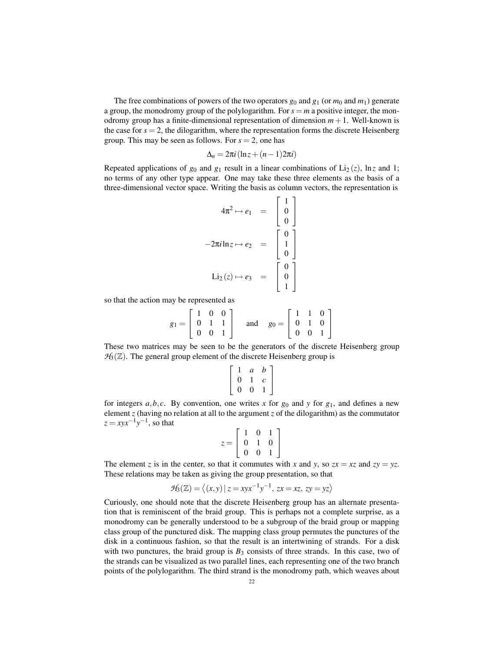The free combinations of powers of the two operators  $g_0$  and  $g_1$  (or  $m_0$  and  $m_1$ ) generate a group, the monodromy group of the polylogarithm. For  $s = m$  a positive integer, the monodromy group has a finite-dimensional representation of dimension  $m + 1$ . Well-known is the case for  $s = 2$ , the dilogarithm, where the representation forms the discrete Heisenberg group. This may be seen as follows. For  $s = 2$ , one has

$$
\Delta_n = 2\pi i \left( \ln z + (n-1)2\pi i \right)
$$

Repeated applications of  $g_0$  and  $g_1$  result in a linear combinations of Li<sub>2</sub>(*z*), ln*z* and 1; no terms of any other type appear. One may take these three elements as the basis of a three-dimensional vector space. Writing the basis as column vectors, the representation is  $\mathbf{r}$  .  $\mathbf{r}$ 

$$
4\pi^2 \mapsto e_1 = \begin{bmatrix} 1 \\ 0 \\ 0 \end{bmatrix}
$$

$$
-2\pi i \ln z \mapsto e_2 = \begin{bmatrix} 0 \\ 1 \\ 0 \end{bmatrix}
$$

$$
\text{Li}_2(z) \mapsto e_3 = \begin{bmatrix} 0 \\ 0 \\ 1 \end{bmatrix}
$$

so that the action may be represented as

$$
g_1 = \begin{bmatrix} 1 & 0 & 0 \\ 0 & 1 & 1 \\ 0 & 0 & 1 \end{bmatrix} \text{ and } g_0 = \begin{bmatrix} 1 & 1 & 0 \\ 0 & 1 & 0 \\ 0 & 0 & 1 \end{bmatrix}
$$

These two matrices may be seen to be the generators of the discrete Heisenberg group  $H_3(\mathbb{Z})$ . The general group element of the discrete Heisenberg group is

$$
\left[\begin{array}{ccc}1&a&b\\0&1&c\\0&0&1\end{array}\right]
$$

for integers  $a, b, c$ . By convention, one writes x for  $g_0$  and y for  $g_1$ , and defines a new element *z* (having no relation at all to the argument *z* of the dilogarithm) as the commutator  $z = xyx^{-1}y^{-1}$ , so that  $\overline{r}$  $\overline{a}$ 

$$
z = \left[ \begin{array}{rrr} 1 & 0 & 1 \\ 0 & 1 & 0 \\ 0 & 0 & 1 \end{array} \right]
$$

The element *z* is in the center, so that it commutes with *x* and *y*, so  $zx = xz$  and  $zy = yz$ . These relations may be taken as giving the group presentation, so that

$$
\mathcal{H}_3(\mathbb{Z}) = \langle (x, y) | z = xyx^{-1}y^{-1}, zx = xz, zy = yz \rangle
$$

Curiously, one should note that the discrete Heisenberg group has an alternate presentation that is reminiscent of the braid group. This is perhaps not a complete surprise, as a monodromy can be generally understood to be a subgroup of the braid group or mapping class group of the punctured disk. The mapping class group permutes the punctures of the disk in a continuous fashion, so that the result is an intertwining of strands. For a disk with two punctures, the braid group is  $B_3$  consists of three strands. In this case, two of the strands can be visualized as two parallel lines, each representing one of the two branch points of the polylogarithm. The third strand is the monodromy path, which weaves about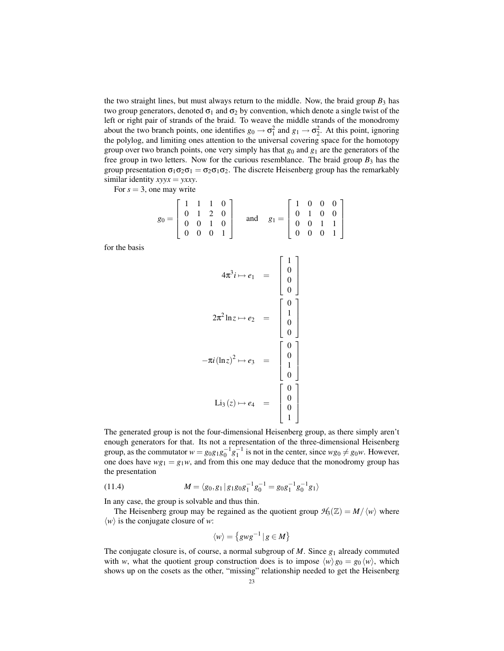the two straight lines, but must always return to the middle. Now, the braid group  $B_3$  has two group generators, denoted  $\sigma_1$  and  $\sigma_2$  by convention, which denote a single twist of the left or right pair of strands of the braid. To weave the middle strands of the monodromy about the two branch points, one identifies  $g_0 \to \sigma_1^2$  and  $g_1 \to \sigma_2^2$ . At this point, ignoring the polylog, and limiting ones attention to the universal covering space for the homotopy group over two branch points, one very simply has that  $g_0$  and  $g_1$  are the generators of the free group in two letters. Now for the curious resemblance. The braid group  $B_3$  has the group presentation  $\sigma_1 \sigma_2 \sigma_1 = \sigma_2 \sigma_1 \sigma_2$ . The discrete Heisenberg group has the remarkably similar identity *xyyx* = *yxxy*.

For  $s = 3$ , one may write

|  |  | $g_0 = \begin{bmatrix} 1 & 1 & 1 & 0 \\ 0 & 1 & 2 & 0 \\ 0 & 0 & 1 & 0 \\ 0 & 0 & 0 & 1 \end{bmatrix}$ and $g_1 = \begin{bmatrix} 1 & 0 & 0 & 0 \\ 0 & 1 & 0 & 0 \\ 0 & 0 & 1 & 1 \\ 0 & 0 & 0 & 1 \end{bmatrix}$ |  |  |  |
|--|--|-------------------------------------------------------------------------------------------------------------------------------------------------------------------------------------------------------------------|--|--|--|
|  |  |                                                                                                                                                                                                                   |  |  |  |

for the basis

$$
4\pi^3 i \mapsto e_1 = \begin{bmatrix} 1 \\ 0 \\ 0 \\ 0 \end{bmatrix}
$$

$$
2\pi^2 \ln z \mapsto e_2 = \begin{bmatrix} 0 \\ 1 \\ 0 \\ 0 \end{bmatrix}
$$

$$
-\pi i (\ln z)^2 \mapsto e_3 = \begin{bmatrix} 0 \\ 1 \\ 0 \\ 0 \end{bmatrix}
$$

$$
\text{Li}_3(z) \mapsto e_4 = \begin{bmatrix} 0 \\ 0 \\ 1 \\ 0 \end{bmatrix}
$$

The generated group is not the four-dimensional Heisenberg group, as there simply aren't enough generators for that. Its not a representation of the three-dimensional Heisenberg group, as the commutator  $w = g_0 g_1 g_0^{-1} g_1^{-1}$  is not in the center, since  $w g_0 \neq g_0 w$ . However, one does have  $wg_1 = g_1w$ , and from this one may deduce that the monodromy group has the presentation

(11.4) 
$$
M = \langle g_0, g_1 | g_1 g_0 g_1^{-1} g_0^{-1} = g_0 g_1^{-1} g_0^{-1} g_1 \rangle
$$

In any case, the group is solvable and thus thin.

The Heisenberg group may be regained as the quotient group  $H_3(\mathbb{Z}) = M/\langle w \rangle$  where  $\langle w \rangle$  is the conjugate closure of *w*:

$$
\langle w \rangle = \left\{ gwg^{-1} \, | \, g \in M \right\}
$$

The conjugate closure is, of course, a normal subgroup of *M*. Since *g*<sup>1</sup> already commuted with *w*, what the quotient group construction does is to impose  $\langle w \rangle g_0 = g_0 \langle w \rangle$ , which shows up on the cosets as the other, "missing" relationship needed to get the Heisenberg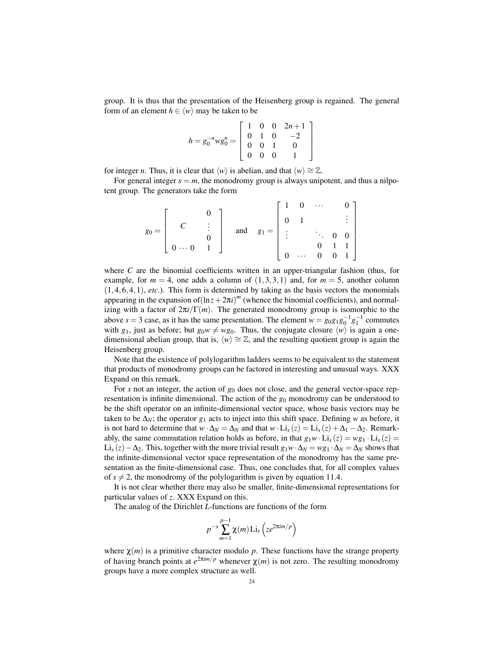group. It is thus that the presentation of the Heisenberg group is regained. The general form of an element  $h \in \langle w \rangle$  may be taken to be

$$
h = g_0^{-n}wg_0^n = \begin{bmatrix} 1 & 0 & 0 & 2n+1 \\ 0 & 1 & 0 & -2 \\ 0 & 0 & 1 & 0 \\ 0 & 0 & 0 & 1 \end{bmatrix}
$$

for integer *n*. Thus, it is clear that  $\langle w \rangle$  is abelian, and that  $\langle w \rangle \cong \mathbb{Z}$ .

For general integer  $s = m$ , the monodromy group is always unipotent, and thus a nilpotent group. The generators take the form

$$
g_0 = \left[ \begin{array}{cccc} & & 0 \\ & C & & \vdots \\ & & 0 & \\ 0 & \cdots & 0 & 1 \end{array} \right] \quad \text{and} \quad g_1 = \left[ \begin{array}{cccc} 1 & 0 & \cdots & 0 \\ 0 & 1 & & & \vdots \\ & \vdots & & \ddots & 0 & 0 \\ 0 & \cdots & 0 & 0 & 1 \end{array} \right]
$$

where *C* are the binomial coefficients written in an upper-triangular fashion (thus, for example, for  $m = 4$ , one adds a column of  $(1,3,3,1)$  and, for  $m = 5$ , another column  $(1,4,6,4,1)$ , *etc.*). This form is determined by taking as the basis vectors the monomials appearing in the expansion of $(\ln z + 2\pi i)^m$  (whence the binomial coefficients), and normalizing with a factor of  $2\pi i/\Gamma(m)$ . The generated monodromy group is isomorphic to the above *s* = 3 case, as it has the same presentation. The element  $w = g_0 g_1 g_0^{-1} g_1^{-1}$  commutes with  $g_1$ , just as before; but  $g_0w \neq wg_0$ . Thus, the conjugate closure  $\langle w \rangle$  is again a onedimensional abelian group, that is,  $\langle w \rangle \cong \mathbb{Z}$ , and the resulting quotient group is again the Heisenberg group.

Note that the existence of polylogarithm ladders seems to be equivalent to the statement that products of monodromy groups can be factored in interesting and unusual ways. XXX Expand on this remark.

For *s* not an integer, the action of *g*<sup>0</sup> does not close, and the general vector-space representation is infinite dimensional. The action of the  $g<sub>0</sub>$  monodromy can be understood to be the shift operator on an infinite-dimensional vector space, whose basis vectors may be taken to be  $\Delta_N$ ; the operator  $g_1$  acts to inject into this shift space. Defining *w* as before, it is not hard to determine that  $w \cdot \Delta_N = \Delta_N$  and that  $w \cdot Li_s(z) = Li_s(z) + \Delta_1 - \Delta_2$ . Remarkably, the same commutation relation holds as before, in that  $g_1w \cdot Li_s(z) = wg_1 \cdot Li_s(z)$ Li<sub>s</sub> (*z*) − ∆<sub>2</sub>. This, together with the more trivial result  $g_1w \cdot Δ_N = wg_1 \cdot Δ_N = Δ_N$  shows that the infinite-dimensional vector space representation of the monodromy has the same presentation as the finite-dimensional case. Thus, one concludes that, for all complex values of  $s \neq 2$ , the monodromy of the polylogarithm is given by equation 11.4.

It is not clear whether there may also be smaller, finite-dimensional representations for particular values of *z*. XXX Expand on this.

The analog of the Dirichlet *L*-functions are functions of the form

$$
p^{-s}\sum_{m=1}^{p-1}\chi(m)\operatorname{Li}_s\left(ze^{2\pi im/p}\right)
$$

where  $\chi(m)$  is a primitive character modulo p. These functions have the strange property of having branch points at  $e^{2\pi im/p}$  whenever  $\chi(m)$  is not zero. The resulting monodromy groups have a more complex structure as well.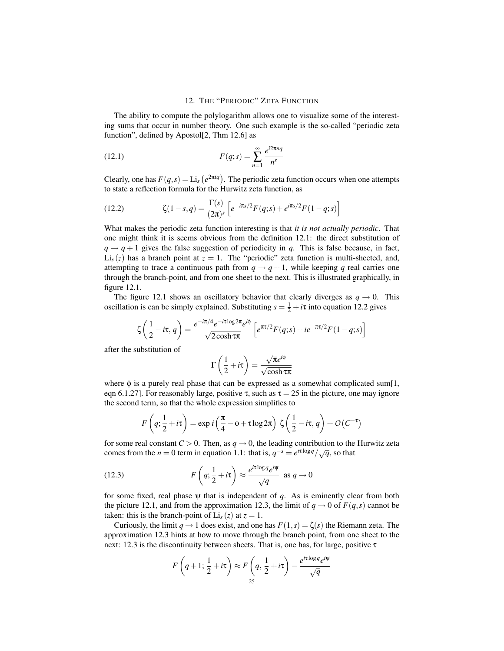# 12. THE "PERIODIC" ZETA FUNCTION

The ability to compute the polylogarithm allows one to visualize some of the interesting sums that occur in number theory. One such example is the so-called "periodic zeta function", defined by Apostol[2, Thm 12.6] as

$$
(12.1) \tF(q;s) = \sum_{n=1}^{\infty} \frac{e^{i2\pi nq}}{n^s}
$$

Clearly, one has  $F(q, s) = \text{Li}_s$ ¡ *e* <sup>2</sup>π*iq*¢ . The periodic zeta function occurs when one attempts to state a reflection formula for the Hurwitz zeta function, as

(12.2) 
$$
\zeta(1-s,q) = \frac{\Gamma(s)}{(2\pi)^s} \left[ e^{-i\pi s/2} F(q;s) + e^{i\pi s/2} F(1-q;s) \right]
$$

What makes the periodic zeta function interesting is that *it is not actually periodic*. That one might think it is seems obvious from the definition 12.1: the direct substitution of  $q \rightarrow q+1$  gives the false suggestion of periodicity in *q*. This is false because, in fact,  $Li<sub>s</sub>(z)$  has a branch point at  $z = 1$ . The "periodic" zeta function is multi-sheeted, and, attempting to trace a continuous path from  $q \rightarrow q+1$ , while keeping *q* real carries one through the branch-point, and from one sheet to the next. This is illustrated graphically, in figure 12.1.

The figure 12.1 shows an oscillatory behavior that clearly diverges as  $q \rightarrow 0$ . This oscillation is can be simply explained. Substituting  $s = \frac{1}{2} + i\tau$  into equation 12.2 gives

$$
\zeta\left(\frac{1}{2} - i\tau, q\right) = \frac{e^{-i\pi/4}e^{-i\tau\log 2\pi}e^{i\phi}}{\sqrt{2\cosh\tau\pi}} \left[e^{\pi\tau/2}F(q;s) + ie^{-\pi\tau/2}F(1-q;s)\right]
$$

after the substitution of

$$
\Gamma\left(\frac{1}{2}+i\tau\right) = \frac{\sqrt{\pi}e^{i\phi}}{\sqrt{\cosh \tau \pi}}
$$

where  $\phi$  is a purely real phase that can be expressed as a somewhat complicated sum[1, eqn 6.1.27]. For reasonably large, positive  $\tau$ , such as  $\tau = 25$  in the picture, one may ignore the second term, so that the whole expression simplifies to

$$
F\left(q; \frac{1}{2} + i\tau\right) = \exp i\left(\frac{\pi}{4} - \phi + \tau \log 2\pi\right) \zeta\left(\frac{1}{2} - i\tau, q\right) + O\left(C^{-\tau}\right)
$$

for some real constant  $C > 0$ . Then, as  $q \to 0$ , the leading contribution to the Hurwitz zeta comes from the *n* = 0 term in equation 1.1: that is,  $q^{-s} = e^{i\tau \log q}/\sqrt{q}$ , so that

(12.3) 
$$
F\left(q; \frac{1}{2} + i\tau\right) \approx \frac{e^{i\tau \log q} e^{i\psi}}{\sqrt{q}} \text{ as } q \to 0
$$

for some fixed, real phase  $\psi$  that is independent of  $q$ . As is eminently clear from both the picture 12.1, and from the approximation 12.3, the limit of  $q \rightarrow 0$  of  $F(q, s)$  cannot be taken: this is the branch-point of  $Li_s(z)$  at  $z = 1$ .

Curiously, the limit  $q \to 1$  does exist, and one has  $F(1,s) = \zeta(s)$  the Riemann zeta. The approximation 12.3 hints at how to move through the branch point, from one sheet to the next: 12.3 is the discontinuity between sheets. That is, one has, for large, positive τ

$$
F\left(q+1;\frac{1}{2}+i\tau\right) \approx F\left(q,\frac{1}{2}+i\tau\right) - \frac{e^{i\tau\log q}e^{i\psi}}{\sqrt{q}}
$$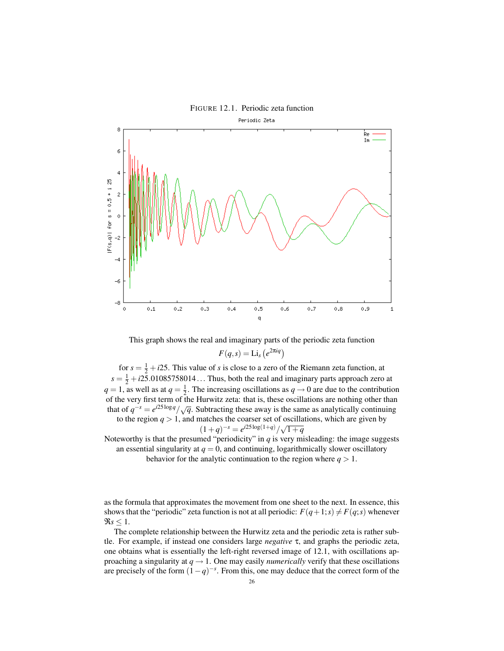



This graph shows the real and imaginary parts of the periodic zeta function  $F(q,s) = \text{Li}_s$ ¡  $e^{2\pi i q}$ 

for  $s = \frac{1}{2} + i25$ . This value of *s* is close to a zero of the Riemann zeta function, at  $s = \frac{1}{2} + i25.01085758014...$  Thus, both the real and imaginary parts approach zero at  $q = 1$ , as well as at  $q = \frac{1}{2}$ . The increasing oscillations as  $q \to 0$  are due to the contribution of the very first term of the Hurwitz zeta: that is, these oscillations are nothing other than that of  $q^{-s} = e^{i25\log q}/\sqrt{q}$ . Subtracting these away is the same as analytically continuing to the region  $q > 1$ , and matches the coarser set of oscillations, which are given by  $(1+q)^{-s} = e^{i25\log(1+q)}/\sqrt{1+q}$ 

Noteworthy is that the presumed "periodicity" in  $q$  is very misleading: the image suggests an essential singularity at  $q = 0$ , and continuing, logarithmically slower oscillatory behavior for the analytic continuation to the region where  $q > 1$ .

as the formula that approximates the movement from one sheet to the next. In essence, this shows that the "periodic" zeta function is not at all periodic:  $F(q+1;s) \neq F(q;s)$  whenever  $\Re s \leq 1$ .

The complete relationship between the Hurwitz zeta and the periodic zeta is rather subtle. For example, if instead one considers large *negative* τ, and graphs the periodic zeta, one obtains what is essentially the left-right reversed image of 12.1, with oscillations approaching a singularity at  $q \rightarrow 1$ . One may easily *numerically* verify that these oscillations are precisely of the form  $(1-q)^{-s}$ . From this, one may deduce that the correct form of the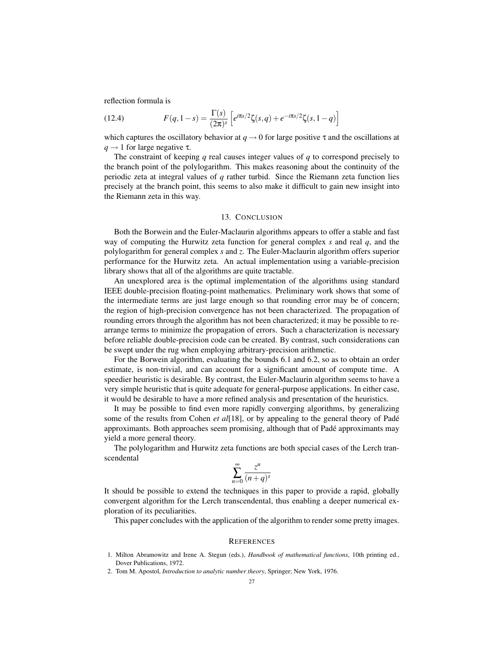reflection formula is

(12.4) 
$$
F(q, 1-s) = \frac{\Gamma(s)}{(2\pi)^s} \left[ e^{i\pi s/2} \zeta(s, q) + e^{-i\pi s/2} \zeta(s, 1-q) \right]
$$

which captures the oscillatory behavior at  $q \to 0$  for large positive  $\tau$  and the oscillations at  $q \rightarrow 1$  for large negative  $\tau$ .

The constraint of keeping *q* real causes integer values of *q* to correspond precisely to the branch point of the polylogarithm. This makes reasoning about the continuity of the periodic zeta at integral values of *q* rather turbid. Since the Riemann zeta function lies precisely at the branch point, this seems to also make it difficult to gain new insight into the Riemann zeta in this way.

# 13. CONCLUSION

Both the Borwein and the Euler-Maclaurin algorithms appears to offer a stable and fast way of computing the Hurwitz zeta function for general complex *s* and real *q*, and the polylogarithm for general complex *s* and *z*. The Euler-Maclaurin algorithm offers superior performance for the Hurwitz zeta. An actual implementation using a variable-precision library shows that all of the algorithms are quite tractable.

An unexplored area is the optimal implementation of the algorithms using standard IEEE double-precision floating-point mathematics. Preliminary work shows that some of the intermediate terms are just large enough so that rounding error may be of concern; the region of high-precision convergence has not been characterized. The propagation of rounding errors through the algorithm has not been characterized; it may be possible to rearrange terms to minimize the propagation of errors. Such a characterization is necessary before reliable double-precision code can be created. By contrast, such considerations can be swept under the rug when employing arbitrary-precision arithmetic.

For the Borwein algorithm, evaluating the bounds 6.1 and 6.2, so as to obtain an order estimate, is non-trivial, and can account for a significant amount of compute time. A speedier heuristic is desirable. By contrast, the Euler-Maclaurin algorithm seems to have a very simple heuristic that is quite adequate for general-purpose applications. In either case, it would be desirable to have a more refined analysis and presentation of the heuristics.

It may be possible to find even more rapidly converging algorithms, by generalizing some of the results from Cohen *et al*[18], or by appealing to the general theory of Padé approximants. Both approaches seem promising, although that of Padé approximants may yield a more general theory.

The polylogarithm and Hurwitz zeta functions are both special cases of the Lerch transcendental

$$
\sum_{n=0}^{\infty} \frac{z^n}{(n+q)^s}
$$

It should be possible to extend the techniques in this paper to provide a rapid, globally convergent algorithm for the Lerch transcendental, thus enabling a deeper numerical exploration of its peculiarities.

This paper concludes with the application of the algorithm to render some pretty images.

#### **REFERENCES**

- 1. Milton Abramowitz and Irene A. Stegun (eds.), *Handbook of mathematical functions*, 10th printing ed., Dover Publications, 1972.
- 2. Tom M. Apostol, *Introduction to analytic number theory*, Springer; New York, 1976.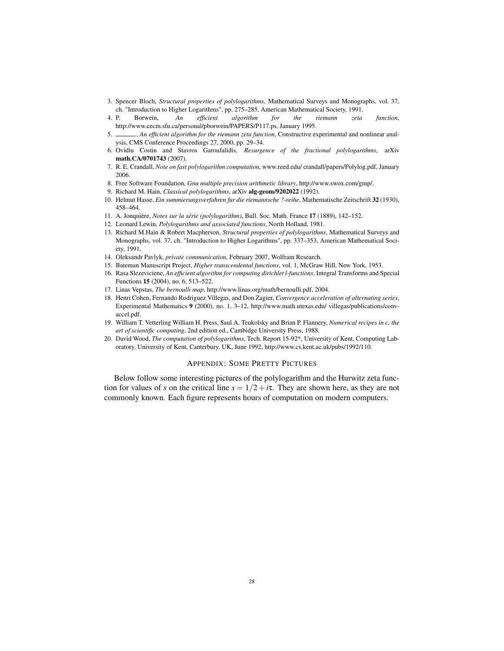- 3. Spencer Bloch, *Structural properties of polylogarithms*, Mathematical Surveys and Monographs, vol. 37, ch. "Introduction to Higher Logarithms", pp. 275–285, American Mathematical Society, 1991.
- 4. P. Borwein, *An efficient algorithm for the riemann zeta function*, http://www.cecm.sfu.ca/personal/pborwein/PAPERS/P117.ps, January 1995.
- 5. , *An efficient algorithm for the riemann zeta function*, Constructive experimental and nonlinear analysis, CMS Conference Proceedings 27, 2000, pp. 29–34.
- 6. Ovidiu Costin and Stavros Garoufalidis, *Resurgence of the fractional polylogarithms*, arXiv math.CA/0701743 (2007).
- 7. R. E. Crandall, *Note on fast polylogarithm computation*, www.reed.edu/ crandall/papers/Polylog.pdf, January 2006.
- 8. Free Software Foundation, *Gnu multiple precision arithmetic library*, http://www.swox.com/gmp/.
- 9. Richard M. Hain, *Classical polylogarithms*, arXiv alg-geom/9202022 (1992).
- 10. Helmut Hasse, *Ein summierungsverfahren fur die riemannsche ?-reihe*, Mathematische Zeitschrift 32 (1930), 458–464.
- 11. A. Jonquière, *Notes sur la série (polylogarithm)*, Bull. Soc. Math. France 17 (1889), 142–152.
- 12. Leonard Lewin, *Polylogarithms and associated functions*, North Holland, 1981.
- 13. Richard M.Hain & Robert Macpherson, *Structural properties of polylogarithms*, Mathematical Surveys and Monographs, vol. 37, ch. "Introduction to Higher Logarithms", pp. 337–353, American Mathematical Society, 1991.
- 14. Oleksandr Pavlyk, *private communication*, February 2007, Wolfram Research.
- 15. Bateman Manuscript Project, *Higher transcendental functions*, vol. 1, McGraw Hill, New York, 1953.
- 16. Rasa Slezeviciene, *An efficient algorithm for computing dirichlet l-functions*, Integral Transforms and Special Functions 15 (2004), no. 6, 513–522.
- 17. Linas Vepstas, *The bernoulli map*, http://www.linas.org/math/bernoulli.pdf, 2004.
- 18. Henri Cohen, Fernando Rodriguez Villegas, and Don Zagier, *Convergence acceleration of alternating series*, Experimental Mathematics 9 (2000), no. 1, 3–12, http://www.math.utexas.edu/ villegas/publications/convaccel.pdf.
- 19. William T. Vetterling William H. Press, Saul A. Teukolsky and Brian P. Flannery, *Numerical recipes in c, the art of scientific computing*, 2nd edition ed., Cambidge University Press, 1988.
- 20. David Wood, *The computation of polylogarithms*, Tech. Report 15-92\*, University of Kent, Computing Laboratory, University of Kent, Canterbury, UK, June 1992, http://www.cs.kent.ac.uk/pubs/1992/110.

#### APPENDIX: SOME PRETTY PICTURES

Below follow some interesting pictures of the polylogarithm and the Hurwitz zeta function for values of *s* on the critical line  $s = 1/2 + i\tau$ . They are shown here, as they are not commonly known. Each figure represents hours of computation on modern computers.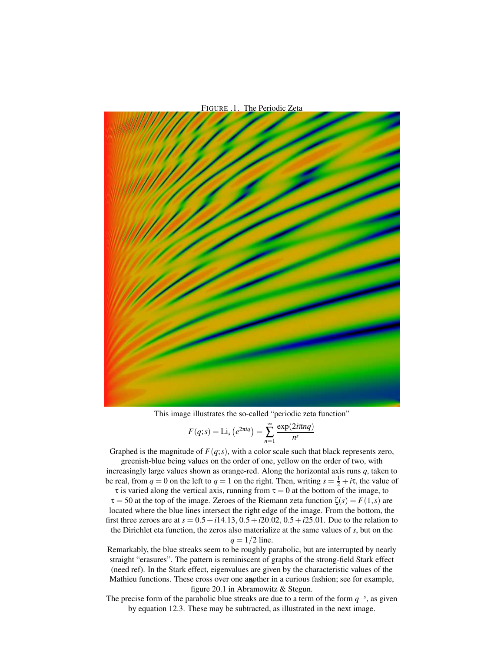

This image illustrates the so-called "periodic zeta function"

$$
F(q; s) = \text{Li}_s\left(e^{2\pi i q}\right) = \sum_{n=1}^{\infty} \frac{\exp(2i\pi n q)}{n^s}
$$

Graphed is the magnitude of  $F(q; s)$ , with a color scale such that black represents zero,

greenish-blue being values on the order of one, yellow on the order of two, with increasingly large values shown as orange-red. Along the horizontal axis runs *q*, taken to be real, from  $q = 0$  on the left to  $q = 1$  on the right. Then, writing  $s = \frac{1}{2} + i\tau$ , the value of

 $\tau$  is varied along the vertical axis, running from  $\tau = 0$  at the bottom of the image, to  $\tau = 50$  at the top of the image. Zeroes of the Riemann zeta function  $\zeta(s) = F(1, s)$  are located where the blue lines intersect the right edge of the image. From the bottom, the first three zeroes are at  $s = 0.5 + i14.13$ ,  $0.5 + i20.02$ ,  $0.5 + i25.01$ . Due to the relation to the Dirichlet eta function, the zeros also materialize at the same values of *s*, but on the

$$
q = 1/2
$$
 line.

Remarkably, the blue streaks seem to be roughly parabolic, but are interrupted by nearly straight "erasures". The pattern is reminiscent of graphs of the strong-field Stark effect (need ref). In the Stark effect, eigenvalues are given by the characteristic values of the Mathieu functions. These cross over one another in a curious fashion; see for example, figure 20.1 in Abramowitz & Stegun.

The precise form of the parabolic blue streaks are due to a term of the form  $q^{-s}$ , as given by equation 12.3. These may be subtracted, as illustrated in the next image.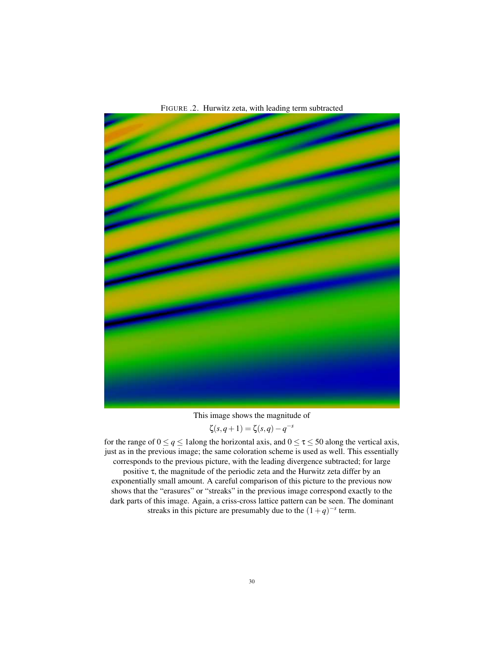

FIGURE .2. Hurwitz zeta, with leading term subtracted

This image shows the magnitude of

$$
\zeta(s,q+1) = \zeta(s,q) - q^{-s}
$$

for the range of  $0 \le q \le 1$  along the horizontal axis, and  $0 \le \tau \le 50$  along the vertical axis, just as in the previous image; the same coloration scheme is used as well. This essentially corresponds to the previous picture, with the leading divergence subtracted; for large positive τ, the magnitude of the periodic zeta and the Hurwitz zeta differ by an exponentially small amount. A careful comparison of this picture to the previous now shows that the "erasures" or "streaks" in the previous image correspond exactly to the dark parts of this image. Again, a criss-cross lattice pattern can be seen. The dominant

streaks in this picture are presumably due to the  $(1+q)^{-s}$  term.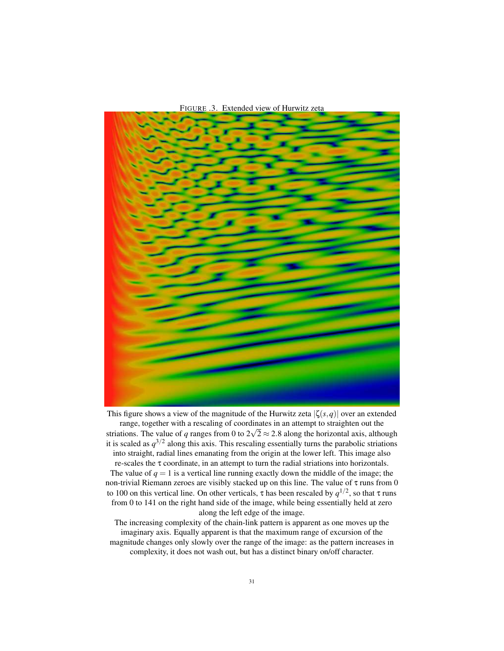



This figure shows a view of the magnitude of the Hurwitz zeta  $|\zeta(s,q)|$  over an extended range, together with a rescaling of coordinates in an attempt to straighten out the √ striations. The value of *q* ranges from 0 to  $2\sqrt{2} \approx 2.8$  along the horizontal axis, although it is scaled as  $q^{3/2}$  along this axis. This rescaling essentially turns the parabolic striations into straight, radial lines emanating from the origin at the lower left. This image also re-scales the τ coordinate, in an attempt to turn the radial striations into horizontals. The value of  $q = 1$  is a vertical line running exactly down the middle of the image; the non-trivial Riemann zeroes are visibly stacked up on this line. The value of  $\tau$  runs from 0 to 100 on this vertical line. On other verticals, τ has been rescaled by  $q^{1/2}$ , so that τ runs from 0 to 141 on the right hand side of the image, while being essentially held at zero along the left edge of the image.

The increasing complexity of the chain-link pattern is apparent as one moves up the imaginary axis. Equally apparent is that the maximum range of excursion of the magnitude changes only slowly over the range of the image: as the pattern increases in complexity, it does not wash out, but has a distinct binary on/off character.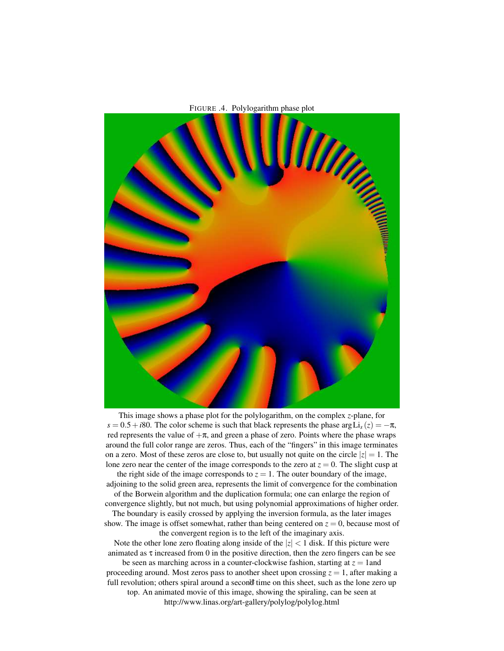

This image shows a phase plot for the polylogarithm, on the complex *z*-plane, for  $s = 0.5 + i80$ . The color scheme is such that black represents the phase arg Li<sub>s</sub> (*z*) = −π, red represents the value of  $+\pi$ , and green a phase of zero. Points where the phase wraps around the full color range are zeros. Thus, each of the "fingers" in this image terminates on a zero. Most of these zeros are close to, but usually not quite on the circle  $|z| = 1$ . The lone zero near the center of the image corresponds to the zero at  $z = 0$ . The slight cusp at

the right side of the image corresponds to  $z = 1$ . The outer boundary of the image, adjoining to the solid green area, represents the limit of convergence for the combination of the Borwein algorithm and the duplication formula; one can enlarge the region of convergence slightly, but not much, but using polynomial approximations of higher order.

The boundary is easily crossed by applying the inversion formula, as the later images show. The image is offset somewhat, rather than being centered on  $z = 0$ , because most of the convergent region is to the left of the imaginary axis.

Note the other lone zero floating along inside of the  $|z| < 1$  disk. If this picture were animated as  $\tau$  increased from 0 in the positive direction, then the zero fingers can be see be seen as marching across in a counter-clockwise fashion, starting at  $z = 1$  and proceeding around. Most zeros pass to another sheet upon crossing  $z = 1$ , after making a full revolution; others spiral around a secon<sup>t</sup> time on this sheet, such as the lone zero up top. An animated movie of this image, showing the spiraling, can be seen at http://www.linas.org/art-gallery/polylog/polylog.html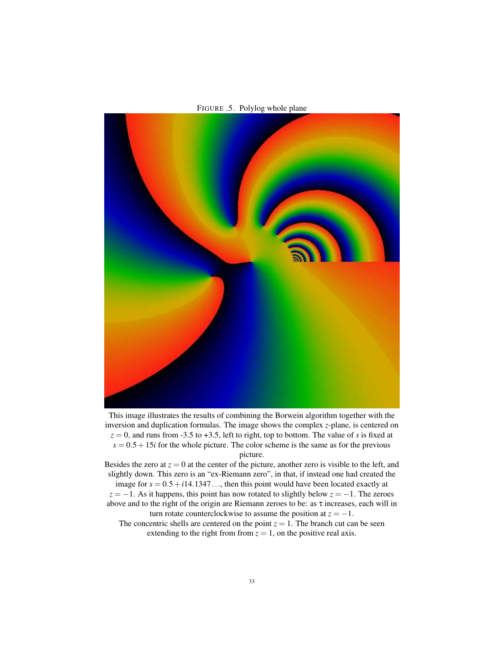

FIGURE .5. Polylog whole plane

This image illustrates the results of combining the Borwein algorithm together with the inversion and duplication formulas. The image shows the complex *z*-plane, is centered on  $z = 0$ , and runs from -3.5 to +3.5, left to right, top to bottom. The value of *s* is fixed at  $s = 0.5 + 15i$  for the whole picture. The color scheme is the same as for the previous picture.

Besides the zero at  $z = 0$  at the center of the picture, another zero is visible to the left, and slightly down. This zero is an "ex-Riemann zero", in that, if instead one had created the

image for  $s = 0.5 + i14.1347...$ , then this point would have been located exactly at  $z = -1$ . As it happens, this point has now rotated to slightly below  $z = -1$ . The zeroes above and to the right of the origin are Riemann zeroes to be: as τ increases, each will in turn rotate counterclockwise to assume the position at  $z = -1$ .

The concentric shells are centered on the point  $z = 1$ . The branch cut can be seen extending to the right from from  $z = 1$ , on the positive real axis.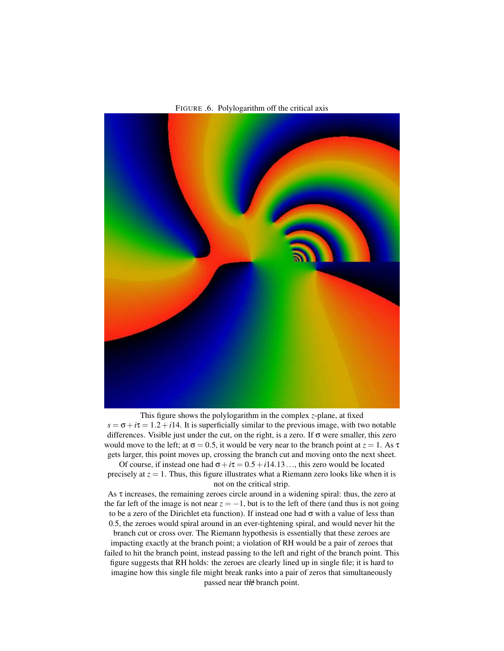

FIGURE .6. Polylogarithm off the critical axis

This figure shows the polylogarithm in the complex *z*-plane, at fixed  $s = \sigma + i\tau = 1.2 + i14$ . It is superficially similar to the previous image, with two notable differences. Visible just under the cut, on the right, is a zero. If σ were smaller, this zero would move to the left; at  $\sigma = 0.5$ , it would be very near to the branch point at  $z = 1$ . As  $\tau$ gets larger, this point moves up, crossing the branch cut and moving onto the next sheet.

Of course, if instead one had  $\sigma + i\tau = 0.5 + i14.13...$ , this zero would be located precisely at  $z = 1$ . Thus, this figure illustrates what a Riemann zero looks like when it is not on the critical strip.

As  $\tau$  increases, the remaining zeroes circle around in a widening spiral: thus, the zero at the far left of the image is not near  $z = -1$ , but is to the left of there (and thus is not going to be a zero of the Dirichlet eta function). If instead one had  $\sigma$  with a value of less than 0.5, the zeroes would spiral around in an ever-tightening spiral, and would never hit the

branch cut or cross over. The Riemann hypothesis is essentially that these zeroes are impacting exactly at the branch point; a violation of RH would be a pair of zeroes that failed to hit the branch point, instead passing to the left and right of the branch point. This figure suggests that RH holds: the zeroes are clearly lined up in single file; it is hard to imagine how this single file might break ranks into a pair of zeros that simultaneously passed near the branch point.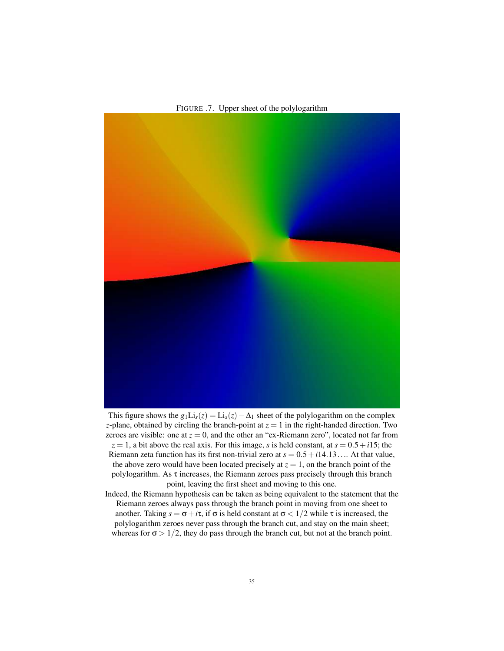FIGURE .7. Upper sheet of the polylogarithm

This figure shows the  $g_1Li_s(z) = Li_s(z) - \Delta_1$  sheet of the polylogarithm on the complex *z*-plane, obtained by circling the branch-point at  $z = 1$  in the right-handed direction. Two zeroes are visible: one at  $z = 0$ , and the other an "ex-Riemann zero", located not far from  $z = 1$ , a bit above the real axis. For this image, *s* is held constant, at  $s = 0.5 + i15$ ; the Riemann zeta function has its first non-trivial zero at  $s = 0.5 + i14.13...$  At that value, the above zero would have been located precisely at  $z = 1$ , on the branch point of the polylogarithm. As  $\tau$  increases, the Riemann zeroes pass precisely through this branch point, leaving the first sheet and moving to this one.

Indeed, the Riemann hypothesis can be taken as being equivalent to the statement that the Riemann zeroes always pass through the branch point in moving from one sheet to another. Taking  $s = \sigma + i\tau$ , if  $\sigma$  is held constant at  $\sigma < 1/2$  while  $\tau$  is increased, the polylogarithm zeroes never pass through the branch cut, and stay on the main sheet; whereas for  $\sigma > 1/2$ , they do pass through the branch cut, but not at the branch point.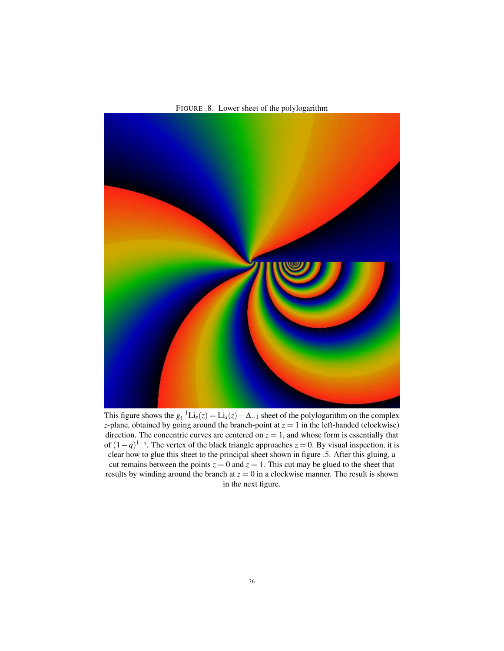FIGURE .8. Lower sheet of the polylogarithm



This figure shows the  $g_1^{-1}Li_s(z) = Li_s(z) - \Delta_{-1}$  sheet of the polylogarithm on the complex *z*-plane, obtained by going around the branch-point at  $z = 1$  in the left-handed (clockwise) direction. The concentric curves are centered on  $z = 1$ , and whose form is essentially that of  $(1-q)^{1-s}$ . The vertex of the black triangle approaches  $z = 0$ . By visual inspection, it is clear how to glue this sheet to the principal sheet shown in figure .5. After this gluing, a cut remains between the points  $z = 0$  and  $z = 1$ . This cut may be glued to the sheet that results by winding around the branch at  $z = 0$  in a clockwise manner. The result is shown in the next figure.